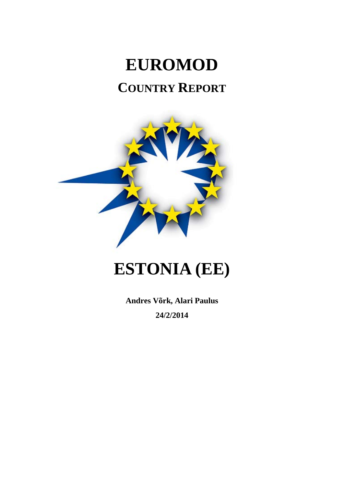# **EUROMOD COUNTRY REPORT**



# **ESTONIA (EE)**

**Andres Võrk, Alari Paulus 24/2/2014**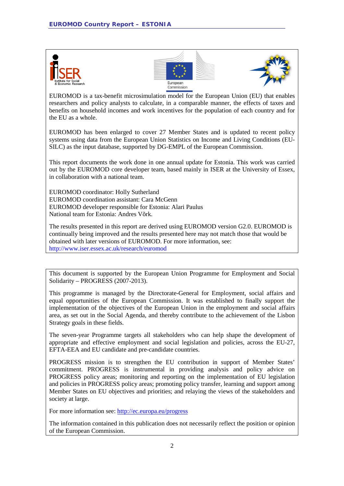





EUROMOD is a tax-benefit microsimulation model for the European Union (EU) that enables researchers and policy analysts to calculate, in a comparable manner, the effects of taxes and benefits on household incomes and work incentives for the population of each country and for the EU as a whole.

EUROMOD has been enlarged to cover 27 Member States and is updated to recent policy systems using data from the European Union Statistics on Income and Living Conditions (EU-SILC) as the input database, supported by DG-EMPL of the European Commission.

This report documents the work done in one annual update for Estonia. This work was carried out by the EUROMOD core developer team, based mainly in ISER at the University of Essex, in collaboration with a national team.

EUROMOD coordinator: Holly Sutherland EUROMOD coordination assistant: Cara McGenn EUROMOD developer responsible for Estonia: Alari Paulus National team for Estonia: Andres Võrk.

The results presented in this report are derived using EUROMOD version G2.0. EUROMOD is continually being improved and the results presented here may not match those that would be obtained with later versions of EUROMOD. For more information, see: http://www.iser.essex.ac.uk/research/euromod

This document is supported by the European Union Programme for Employment and Social Solidarity – PROGRESS (2007-2013).

This programme is managed by the Directorate-General for Employment, social affairs and equal opportunities of the European Commission. It was established to finally support the implementation of the objectives of the European Union in the employment and social affairs area, as set out in the Social Agenda, and thereby contribute to the achievement of the Lisbon Strategy goals in these fields.

The seven-year Programme targets all stakeholders who can help shape the development of appropriate and effective employment and social legislation and policies, across the EU-27, EFTA-EEA and EU candidate and pre-candidate countries.

PROGRESS mission is to strengthen the EU contribution in support of Member States' commitment. PROGRESS is instrumental in providing analysis and policy advice on PROGRESS policy areas; monitoring and reporting on the implementation of EU legislation and policies in PROGRESS policy areas; promoting policy transfer, learning and support among Member States on EU objectives and priorities; and relaying the views of the stakeholders and society at large.

For more information see:<http://ec.europa.eu/progress>

The information contained in this publication does not necessarily reflect the position or opinion of the European Commission.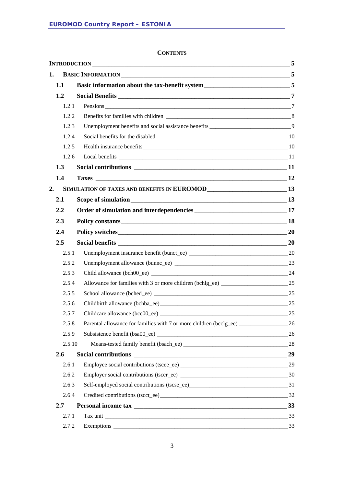#### **CONTENTS**

| 1. |        |                                                                                          |    |
|----|--------|------------------------------------------------------------------------------------------|----|
|    | 1.1    |                                                                                          |    |
|    | 1.2    |                                                                                          |    |
|    | 1.2.1  |                                                                                          |    |
|    | 1.2.2  |                                                                                          |    |
|    | 1.2.3  | Unemployment benefits and social assistance benefits ________________________________9   |    |
|    | 1.2.4  |                                                                                          |    |
|    | 1.2.5  |                                                                                          |    |
|    | 1.2.6  |                                                                                          |    |
|    | 1.3    |                                                                                          |    |
|    | 1.4    |                                                                                          |    |
| 2. |        | SIMULATION OF TAXES AND BENEFITS IN EUROMOD<br>13                                        |    |
|    | 2.1    |                                                                                          |    |
|    | 2.2    |                                                                                          |    |
|    | 2.3    |                                                                                          |    |
|    | 2.4    |                                                                                          |    |
|    | 2.5    |                                                                                          |    |
|    | 2.5.1  |                                                                                          |    |
|    | 2.5.2  |                                                                                          |    |
|    | 2.5.3  |                                                                                          |    |
|    | 2.5.4  | Allowance for families with 3 or more children (bchlg_ee) ____________________________25 |    |
|    | 2.5.5  |                                                                                          |    |
|    | 2.5.6  |                                                                                          |    |
|    | 2.5.7  |                                                                                          |    |
|    | 2.5.8  | Parental allowance for families with 7 or more children (bcclg_ee) _____________         | 26 |
|    | 2.5.9  |                                                                                          | 26 |
|    | 2.5.10 |                                                                                          |    |
|    | 2.6    |                                                                                          | 29 |
|    | 2.6.1  |                                                                                          |    |
|    | 2.6.2  |                                                                                          |    |
|    | 2.6.3  |                                                                                          |    |
|    | 2.6.4  |                                                                                          |    |
|    | 2.7    |                                                                                          |    |
|    | 2.7.1  |                                                                                          |    |
|    | 2.7.2  |                                                                                          |    |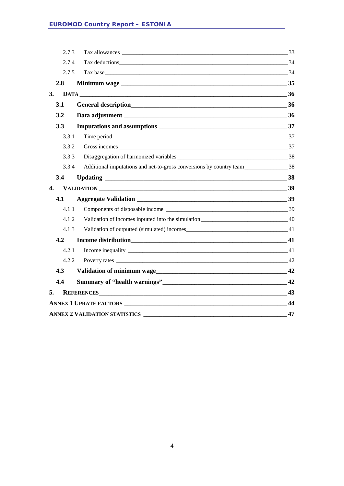|    | 2.7.3 |                                      | 33 |  |  |  |  |  |
|----|-------|--------------------------------------|----|--|--|--|--|--|
|    | 2.7.4 |                                      | 34 |  |  |  |  |  |
|    | 2.7.5 |                                      |    |  |  |  |  |  |
|    | 2.8   |                                      |    |  |  |  |  |  |
| 3. |       |                                      |    |  |  |  |  |  |
|    | 3.1   | General description 36               |    |  |  |  |  |  |
|    | 3.2   |                                      |    |  |  |  |  |  |
|    | 3.3   |                                      |    |  |  |  |  |  |
|    | 3.3.1 |                                      |    |  |  |  |  |  |
|    | 3.3.2 |                                      |    |  |  |  |  |  |
|    | 3.3.3 |                                      |    |  |  |  |  |  |
|    | 3.3.4 |                                      |    |  |  |  |  |  |
|    | 3.4   |                                      | 38 |  |  |  |  |  |
| 4. |       |                                      |    |  |  |  |  |  |
|    | 4.1   |                                      | 39 |  |  |  |  |  |
|    | 4.1.1 |                                      |    |  |  |  |  |  |
|    | 4.1.2 |                                      |    |  |  |  |  |  |
|    | 4.1.3 |                                      |    |  |  |  |  |  |
|    | 4.2   | Income distribution 41               |    |  |  |  |  |  |
|    | 4.2.1 |                                      |    |  |  |  |  |  |
|    | 4.2.2 |                                      |    |  |  |  |  |  |
|    | 4.3   |                                      |    |  |  |  |  |  |
|    | 4.4   |                                      |    |  |  |  |  |  |
| 5. |       | REFERENCES 43                        |    |  |  |  |  |  |
|    | 44    |                                      |    |  |  |  |  |  |
|    |       | <b>ANNEX 2 VALIDATION STATISTICS</b> | 47 |  |  |  |  |  |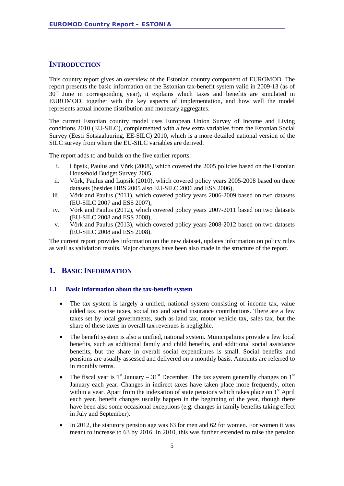#### <span id="page-4-0"></span>**INTRODUCTION**

This country report gives an overview of the Estonian country component of EUROMOD. The report presents the basic information on the Estonian tax-benefit system valid in 2009-13 (as of 30<sup>th</sup> June in corresponding year), it explains which taxes and benefits are simulated in EUROMOD, together with the key aspects of implementation, and how well the model represents actual income distribution and monetary aggregates.

The current Estonian country model uses European Union Survey of Income and Living conditions 2010 (EU-SILC), complemented with a few extra variables from the Estonian Social Survey (Eesti Sotsiaaluuring, EE-SILC) 2010, which is a more detailed national version of the SILC survey from where the EU-SILC variables are derived.

The report adds to and builds on the five earlier reports:

- i. Lüpsik, Paulus and Võrk (2008), which covered the 2005 policies based on the Estonian Household Budget Survey 2005,
- ii. Võrk, Paulus and Lüpsik (2010), which covered policy years 2005-2008 based on three datasets (besides HBS 2005 also EU-SILC 2006 and ESS 2006),
- iii. Võrk and Paulus (2011), which covered policy years 2006-2009 based on two datasets (EU-SILC 2007 and ESS 2007),
- iv. Võrk and Paulus (2012), which covered policy years 2007-2011 based on two datasets (EU-SILC 2008 and ESS 2008),
- v. Võrk and Paulus (2013), which covered policy years 2008-2012 based on two datasets (EU-SILC 2008 and ESS 2008).

The current report provides information on the new dataset, updates information on policy rules as well as validation results. Major changes have been also made in the structure of the report.

#### <span id="page-4-1"></span>**1. BASIC INFORMATION**

#### <span id="page-4-2"></span>**1.1 Basic information about the tax-benefit system**

- The tax system is largely a unified, national system consisting of income tax, value added tax, excise taxes, social tax and social insurance contributions. There are a few taxes set by local governments, such as land tax*,* motor vehicle tax*,* sales tax, but the share of these taxes in overall tax revenues is negligible.
- The benefit system is also a unified, national system. Municipalities provide a few local benefits, such as additional family and child benefits, and additional social assistance benefits*,* but the share in overall social expenditures is small. Social benefits and pensions are usually assessed and delivered on a monthly basis. Amounts are referred to in monthly terms.
- The fiscal year is  $1<sup>st</sup>$  January  $31<sup>st</sup>$  December. The tax system generally changes on  $1<sup>st</sup>$ January each year. Changes in indirect taxes have taken place more frequently, often within a year. Apart from the indexation of state pensions which takes place on  $1<sup>st</sup>$  April each year, benefit changes usually happen in the beginning of the year, though there have been also some occasional exceptions (e.g. changes in family benefits taking effect in July and September).
- In 2012, the statutory pension age was 63 for men and 62 for women. For women it was meant to increase to 63 by 2016. In 2010, this was further extended to raise the pension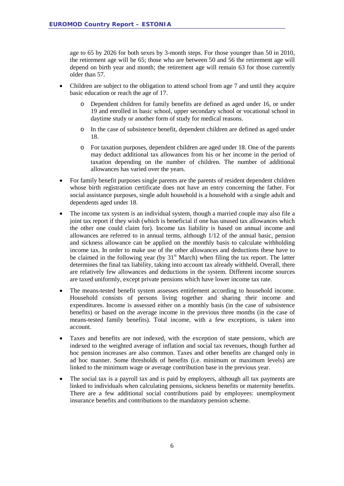age to 65 by 2026 for both sexes by 3-month steps. For those younger than 50 in 2010, the retirement age will be 65; those who are between 50 and 56 the retirement age will depend on birth year and month; the retirement age will remain 63 for those currently older than 57.

- Children are subject to the obligation to attend school from age 7 and until they acquire basic education or reach the age of 17.
	- o Dependent children for family benefits are defined as aged under 16, or under 19 and enrolled in basic school, upper secondary school or vocational school in daytime study or another form of study for medical reasons.
	- o In the case of subsistence benefit, dependent children are defined as aged under 18.
	- o For taxation purposes, dependent children are aged under 18. One of the parents may deduct additional tax allowances from his or her income in the period of taxation depending on the number of children. The number of additional allowances has varied over the years.
- For family benefit purposes single parents are the parents of resident dependent children whose birth registration certificate does not have an entry concerning the father. For social assistance purposes, single adult household is a household with a single adult and dependents aged under 18.
- The income tax system is an individual system, though a married couple may also file a joint tax report if they wish (which is beneficial if one has unused tax allowances which the other one could claim for). Income tax liability is based on annual income and allowances are referred to in annual terms, although 1/12 of the annual basic, pension and sickness allowance can be applied on the monthly basis to calculate withholding income tax. In order to make use of the other allowances and deductions these have to be claimed in the following year (by  $31<sup>st</sup>$  March) when filing the tax report. The latter determines the final tax liability, taking into account tax already withheld. Overall, there are relatively few allowances and deductions in the system. Different income sources are taxed uniformly, except private pensions which have lower income tax rate.
- The means-tested benefit system assesses entitlement according to household income. Household consists of persons living together and sharing their income and expenditures. Income is assessed either on a monthly basis (in the case of subsistence benefits) or based on the average income in the previous three months (in the case of means-tested family benefits). Total income, with a few exceptions, is taken into account.
- Taxes and benefits are not indexed, with the exception of state pensions, which are indexed to the weighted average of inflation and social tax revenues, though further ad hoc pension increases are also common. Taxes and other benefits are changed only in ad hoc manner. Some thresholds of benefits (i.e. minimum or maximum levels) are linked to the minimum wage or average contribution base in the previous year.
- The social tax is a payroll tax and is paid by employers, although all tax payments are linked to individuals when calculating pensions, sickness benefits or maternity benefits. There are a few additional social contributions paid by employees: unemployment insurance benefits and contributions to the mandatory pension scheme.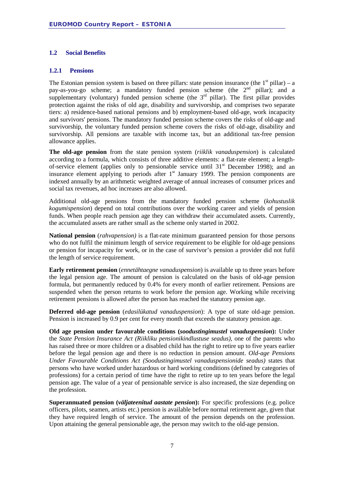#### <span id="page-6-0"></span>**1.2 Social Benefits**

#### <span id="page-6-1"></span>**1.2.1 Pensions**

The Estonian pension system is based on three pillars: state pension insurance (the  $1<sup>st</sup>$  pillar) – a pay-as-you-go scheme; a mandatory funded pension scheme (the  $2<sup>nd</sup>$  pillar); and a supplementary (voluntary) funded pension scheme (the  $3<sup>rd</sup>$  pillar). The first pillar provides protection against the risks of old age, disability and survivorship, and comprises two separate tiers: a) residence-based national pensions and b) employment-based old-age, work incapacity and survivors' pensions. The mandatory funded pension scheme covers the risks of old-age and survivorship, the voluntary funded pension scheme covers the risks of old-age, disability and survivorship. All pensions are taxable with income tax, but an additional tax-free pension allowance applies.

**The old-age pension** from the state pension system (*riiklik vanaduspension*) is calculated according to a formula, which consists of three additive elements: a flat-rate element; a lengthof-service element (applies only to pensionable service until  $31<sup>st</sup>$  December 1998); and an insurance element applying to periods after  $1<sup>st</sup>$  January 1999. The pension components are indexed annually by an arithmetic weighted average of annual increases of consumer prices and social tax revenues, ad hoc increases are also allowed.

Additional old-age pensions from the mandatory funded pension scheme (*kohustuslik kogumispension*) depend on total contributions over the working career and yields of pension funds. When people reach pension age they can withdraw their accumulated assets. Currently, the accumulated assets are rather small as the scheme only started in 2002.

**National pension** (*rahvapension)* is a flat-rate minimum guaranteed pension for those persons who do not fulfil the minimum length of service requirement to be eligible for old-age pensions or pension for incapacity for work, or in the case of survivor's pension a provider did not fufil the length of service requirement.

**Early retirement pension** (*ennetähtaegne vanaduspension*) is available up to three years before the legal pension age. The amount of pension is calculated on the basis of old-age pension formula, but permanently reduced by 0.4% for every month of earlier retirement. Pensions are suspended when the person returns to work before the pension age. Working while receiving retirement pensions is allowed after the person has reached the statutory pension age.

**Deferred old-age pension** (*edasilükatud vanaduspension*): A type of state old-age pension. Pension is increased by 0.9 per cent for every month that exceeds the statutory pension age.

**Old age pension under favourable conditions (***soodustingimustel vanaduspension***):** Under the *State Pension Insurance Act (Riikliku pensionikindlustuse seadus)*, one of the parents who has raised three or more children or a disabled child has the right to retire up to five years earlier before the legal pension age and there is no reduction in pension amount. *Old-age Pensions Under Favourable Conditions Act (Soodustingimustel vanaduspensionide seadus)* states that persons who have worked under hazardous or hard working conditions (defined by categories of professions) for a certain period of time have the right to retire up to ten years before the legal pension age. The value of a year of pensionable service is also increased, the size depending on the profession.

**Superannuated pension (***väljateenitud aastate pension***):** For specific professions (e.g. police officers, pilots, seamen, artists etc.) pension is available before normal retirement age, given that they have required length of service. The amount of the pension depends on the profession. Upon attaining the general pensionable age, the person may switch to the old-age pension.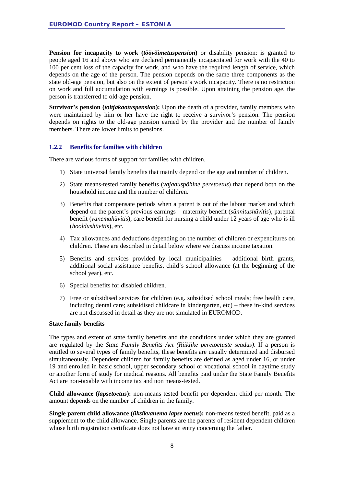**Pension for incapacity to work (***töövõimetuspension***)** or disability pension: is granted to people aged 16 and above who are declared permanently incapacitated for work with the 40 to 100 per cent loss of the capacity for work, and who have the required length of service, which depends on the age of the person. The pension depends on the same three components as the state old-age pension, but also on the extent of person's work incapacity. There is no restriction on work and full accumulation with earnings is possible. Upon attaining the pension age, the person is transferred to old-age pension.

**Survivor's pension** *(toitjakaotuspension)***:** Upon the death of a provider, family members who were maintained by him or her have the right to receive a survivor's pension. The pension depends on rights to the old-age pension earned by the provider and the number of family members. There are lower limits to pensions.

#### <span id="page-7-0"></span>**1.2.2 Benefits for families with children**

There are various forms of support for families with children.

- 1) State universal family benefits that mainly depend on the age and number of children.
- 2) State means-tested family benefits (*vajaduspõhine peretoetus*) that depend both on the household income and the number of children.
- 3) Benefits that compensate periods when a parent is out of the labour market and which depend on the parent's previous earnings – maternity benefit (*sünnitushüvitis*), parental benefit (*vanemahüvitis*), care benefit for nursing a child under 12 years of age who is ill (*hooldushüvitis*), etc.
- 4) Tax allowances and deductions depending on the number of children or expenditures on children. These are described in detail below where we discuss income taxation.
- 5) Benefits and services provided by local municipalities additional birth grants, additional social assistance benefits, child's school allowance (at the beginning of the school year), etc.
- 6) Special benefits for disabled children.
- 7) Free or subsidised services for children (e.g. subsidised school meals; free health care, including dental care; subsidised childcare in kindergarten, etc) – these in-kind services are not discussed in detail as they are not simulated in EUROMOD.

#### **State family benefits**

The types and extent of state family benefits and the conditions under which they are granted are regulated by the *State Family Benefits Act (Riiklike peretoetuste seadus)*. If a person is entitled to several types of family benefits, these benefits are usually determined and disbursed simultaneously. Dependent children for family benefits are defined as aged under 16, or under 19 and enrolled in basic school, upper secondary school or vocational school in daytime study or another form of study for medical reasons. All benefits paid under the State Family Benefits Act are non-taxable with income tax and non means-tested.

**Child allowance (***lapsetoetus***):** non-means tested benefit per dependent child per month. The amount depends on the number of children in the family.

**Single parent child allowance (***üksikvanema lapse toetus***):** non-means tested benefit, paid as a supplement to the child allowance. Single parents are the parents of resident dependent children whose birth registration certificate does not have an entry concerning the father.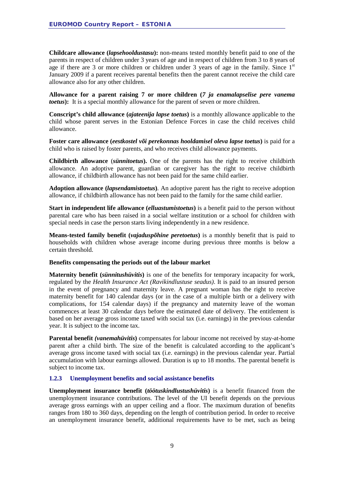**Childcare allowance (***lapsehooldustasu***):** non-means tested monthly benefit paid to one of the parents in respect of children under 3 years of age and in respect of children from 3 to 8 years of age if there are 3 or more children or children under 3 years of age in the family. Since  $1<sup>st</sup>$ January 2009 if a parent receives parental benefits then the parent cannot receive the child care allowance also for any other children.

**Allowance for a parent raising 7 or more children (***7 ja enamalapselise pere vanema toetus***):** It is a special monthly allowance for the parent of seven or more children.

**Conscript's child allowance (***ajateenija lapse toetus***)** is a monthly allowance applicable to the child whose parent serves in the Estonian Defence Forces in case the child receives child allowance.

**Foster care allowance (***eestkostel või perekonnas hooldamisel oleva lapse toetus***)** is paid for a child who is raised by foster parents, and who receives child allowance payments.

**Childbirth allowance** (*sünnitoetus***).** One of the parents has the right to receive childbirth allowance. An adoptive parent, guardian or caregiver has the right to receive childbirth allowance, if childbirth allowance has not been paid for the same child earlier.

**Adoption allowance (***lapsendamistoetus***)***.* An adoptive parent has the right to receive adoption allowance, if childbirth allowance has not been paid to the family for the same child earlier.

**Start in independent life allowance (***elluastumistoetus***)** is a benefit paid to the person without parental care who has been raised in a social welfare institution or a school for children with special needs in case the person starts living independently in a new residence.

**Means-tested family benefit (***vajaduspõhine peretoetus***)** is a monthly benefit that is paid to households with children whose average income during previous three months is below a certain threshold.

#### **Benefits compensating the periods out of the labour market**

**Maternity benefit (***sünnitushüvitis***)** is one of the benefits for temporary incapacity for work, regulated by the *Health Insurance Act (Ravikindlustuse seadus)*. It is paid to an insured person in the event of pregnancy and maternity leave. A pregnant woman has the right to receive maternity benefit for 140 calendar days (or in the case of a multiple birth or a delivery with complications, for 154 calendar days) if the pregnancy and maternity leave of the woman commences at least 30 calendar days before the estimated date of delivery. The entitlement is based on her average gross income taxed with social tax (i.e. earnings) in the previous calendar year. It is subject to the income tax.

**Parental benefit** *(vanemahüvitis***)** compensates for labour income not received by stay-at-home parent after a child birth. The size of the benefit is calculated according to the applicant's average gross income taxed with social tax (i.e. earnings) in the previous calendar year. Partial accumulation with labour earnings allowed. Duration is up to 18 months. The parental benefit is subject to income tax.

#### <span id="page-8-0"></span>**1.2.3 Unemployment benefits and social assistance benefits**

**Unemployment insurance benefit (***töötuskindlustushüvitis***)** is a benefit financed from the unemployment insurance contributions. The level of the UI benefit depends on the previous average gross earnings with an upper ceiling and a floor. The maximum duration of benefits ranges from 180 to 360 days, depending on the length of contribution period. In order to receive an unemployment insurance benefit, additional requirements have to be met, such as being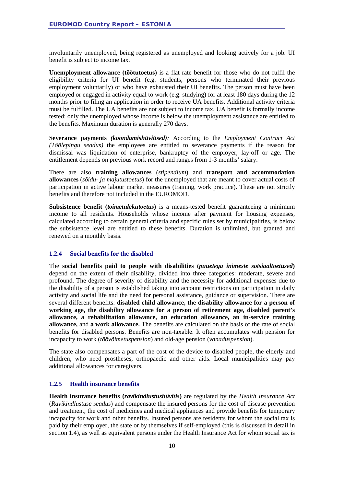involuntarily unemployed, being registered as unemployed and looking actively for a job. UI benefit is subject to income tax.

**Unemployment allowance (töötutoetus)** is a flat rate benefit for those who do not fulfil the eligibility criteria for UI benefit (e.g. students, persons who terminated their previous employment voluntarily) or who have exhausted their UI benefits. The person must have been employed or engaged in activity equal to work (e.g. studying) for at least 180 days during the 12 months prior to filing an application in order to receive UA benefits. Additional activity criteria must be fulfilled. The UA benefits are not subject to income tax. UA benefit is formally income tested: only the unemployed whose income is below the unemployment assistance are entitled to the benefits. Maximum duration is generally 270 days.

**Severance payments** *(koondamishüvitised):* According to the *Employment Contract Act (Töölepingu seadus)* the employees are entitled to severance payments if the reason for dismissal was liquidation of enterprise, bankruptcy of the employer, lay-off or age. The entitlement depends on previous work record and ranges from 1-3 months' salary.

There are also **training allowances** (*stipendium*) and **transport and accommodation allowances** (*sõidu- ja majutustoetus*) for the unemployed that are meant to cover actual costs of participation in active labour market measures (training, work practice). These are not strictly benefits and therefore not included in the EUROMOD.

**Subsistence benefit (***toimetulekutoetus***)** is a means-tested benefit guaranteeing a minimum income to all residents. Households whose income after payment for housing expenses, calculated according to certain general criteria and specific rules set by municipalities, is below the subsistence level are entitled to these benefits. Duration is unlimited, but granted and renewed on a monthly basis.

#### <span id="page-9-0"></span>**1.2.4 Social benefits for the disabled**

The **social benefits paid to people with disabilities (***puuetega inimeste sotsiaaltoetused***)** depend on the extent of their disability, divided into three categories: moderate, severe and profound. The degree of severity of disability and the necessity for additional expenses due to the disability of a person is established taking into account restrictions on participation in daily activity and social life and the need for personal assistance, guidance or supervision. There are several different benefits: **disabled child allowance, the disability allowance for a person of working age, the disability allowance for a person of retirement age, disabled parent's allowance, a rehabilitation allowance, an education allowance, an in-service training allowance,** and **a work allowance.** The benefits are calculated on the basis of the rate of social benefits for disabled persons. Benefits are non-taxable. It often accumulates with pension for incapacity to work (*töövõimetuspension*) and old-age pension (*vanaduspension*).

The state also compensates a part of the cost of the device to disabled people, the elderly and children, who need prostheses, orthopaedic and other aids. Local municipalities may pay additional allowances for caregivers.

#### <span id="page-9-1"></span>**1.2.5 Health insurance benefits**

**Health insurance benefits (***ravikindlustushüvitis***)** are regulated by the *Health Insurance Act*  (*Ravikindlustuse seadus*) and compensate the insured persons for the cost of disease prevention and treatment, the cost of medicines and medical appliances and provide benefits for temporary incapacity for work and other benefits. Insured persons are residents for whom the social tax is paid by their employer, the state or by themselves if self-employed (this is discussed in detail in section 1.4), as well as equivalent persons under the Health Insurance Act for whom social tax is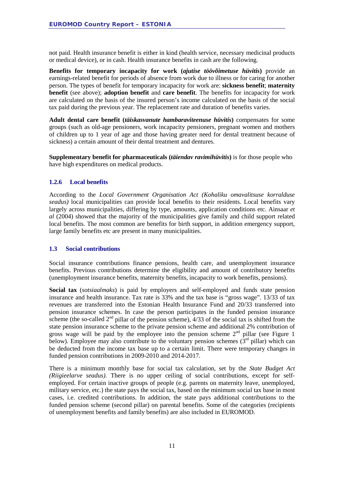not paid. Health insurance benefit is either in kind (health service, necessary medicinal products or medical device), or in cash. Health insurance benefits in cash are the following.

**Benefits for temporary incapacity for work (***ajutise töövõimetuse hüvitis***)** provide an earnings-related benefit for periods of absence from work due to illness or for caring for another person. The types of benefit for temporary incapacity for work are: **sickness benefit**; **maternity benefit** (see above); **adoption benefit** and **care benefit**. The benefits for incapacity for work are calculated on the basis of the insured person's income calculated on the basis of the social tax paid during the previous year. The replacement rate and duration of benefits varies.

**Adult dental care benefit (***täiskasvanute hambaraviteenuse hüvitis***)** compensates for some groups (such as old-age pensioners, work incapacity pensioners, pregnant women and mothers of children up to 1 year of age and those having greater need for dental treatment because of sickness) a certain amount of their dental treatment and dentures.

**Supplementary benefit for pharmaceuticals (***täiendav ravimihüvitis***)** is for those people who have high expenditures on medical products.

#### <span id="page-10-0"></span>**1.2.6 Local benefits**

According to the *Local Government Organisation Act (Kohaliku omavalitsuse korralduse seadus)* local municipalities can provide local benefits to their residents. Local benefits vary largely across municipalities, differing by type, amounts, application conditions etc. Ainsaar *et al* (2004) showed that the majority of the municipalities give family and child support related local benefits. The most common are benefits for birth support, in addition emergency support, large family benefits etc are present in many municipalities.

#### <span id="page-10-1"></span>**1.3 Social contributions**

Social insurance contributions finance pensions, health care, and unemployment insurance benefits. Previous contributions determine the eligibility and amount of contributory benefits (unemployment insurance benefits, maternity benefits, incapacity to work benefits, pensions).

**Social tax** (*sotsiaalmaks*) is paid by employers and self-employed and funds state pension insurance and health insurance. Tax rate is 33% and the tax base is "gross wage". 13/33 of tax revenues are transferred into the Estonian Health Insurance Fund and 20/33 transferred into pension insurance schemes. In case the person participates in the funded pension insurance scheme (the so-called  $2<sup>nd</sup>$  pillar of the pension scheme),  $4/33$  of the social tax is shifted from the state pension insurance scheme to the private pension scheme and additional 2% contribution of gross wage will be paid by the employee into the pension scheme  $2<sup>nd</sup>$  pillar (see Figure 1) below). Employee may also contribute to the voluntary pension schemes  $(\hat{3}^{rd}$  pillar) which can be deducted from the income tax base up to a certain limit. There were temporary changes in funded pension contributions in 2009-2010 and 2014-2017.

There is a minimum monthly base for social tax calculation, set by the *State Budget Act (Riigieelarve seadus)*. There is no upper ceiling of social contributions, except for selfemployed. For certain inactive groups of people (e.g. parents on maternity leave, unemployed, military service, etc.) the state pays the social tax, based on the minimum social tax base in most cases, i.e. credited contributions. In addition, the state pays additional contributions to the funded pension scheme (second pillar) on parental benefits. Some of the categories (recipients of unemployment benefits and family benefits) are also included in EUROMOD.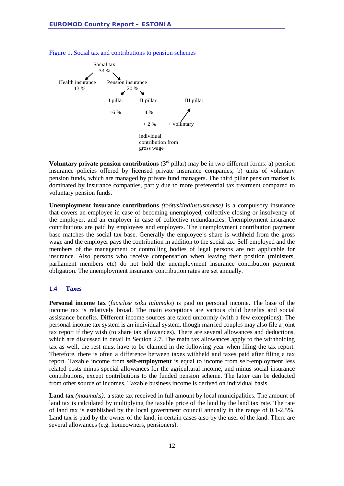

Figure 1. Social tax and contributions to pension schemes

**Voluntary private pension contributions**  $(3<sup>rd</sup> pillar)$  may be in two different forms: a) pension insurance policies offered by licensed private insurance companies; b) units of voluntary pension funds, which are managed by private fund managers. The third pillar pension market is dominated by insurance companies, partly due to more preferential tax treatment compared to voluntary pension funds.

**Unemployment insurance contributions** *(töötuskindlustusmakse)* is a compulsory insurance that covers an employee in case of becoming unemployed, collective closing or insolvency of the employer, and an employer in case of collective redundancies. Unemployment insurance contributions are paid by employees and employers. The unemployment contribution payment base matches the social tax base. Generally the employee's share is withheld from the gross wage and the employer pays the contribution in addition to the social tax. Self-employed and the members of the management or controlling bodies of legal persons are not applicable for insurance. Also persons who receive compensation when leaving their position (ministers, parliament members etc) do not hold the unemployment insurance contribution payment obligation. The unemployment insurance contribution rates are set annually.

#### <span id="page-11-0"></span>**1.4 Taxes**

**Personal income tax** (*füüsilise isiku tulumaks*) is paid on personal income. The base of the income tax is relatively broad. The main exceptions are various child benefits and social assistance benefits. Different income sources are taxed uniformly (with a few exceptions). The personal income tax system is an individual system, though married couples may also file a joint tax report if they wish (to share tax allowances). There are several allowances and deductions, which are discussed in detail in Section 2.7. The main tax allowances apply to the withholding tax as well, the rest must have to be claimed in the following year when filing the tax report. Therefore, there is often a difference between taxes withheld and taxes paid after filing a tax report. Taxable income from **self-employment** is equal to income from self-employment less related costs minus special allowances for the agricultural income, and minus social insurance contributions, except contributions to the funded pension scheme. The latter can be deducted from other source of incomes. Taxable business income is derived on individual basis.

**Land tax** *(maamaks):* a state tax received in full amount by local municipalities. The amount of land tax is calculated by multiplying the taxable price of the land by the land tax rate. The rate of land tax is established by the local government council annually in the range of 0.1-2.5%. Land tax is paid by the owner of the land, in certain cases also by the user of the land. There are several allowances (e.g. homeowners, pensioners).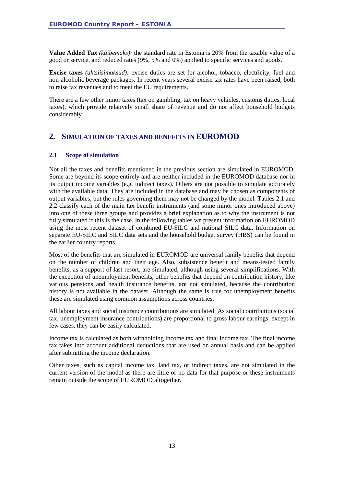**Value Added Tax** *(käibemaks):* the standard rate in Estonia is 20% from the taxable value of a good or service, and reduced rates (9%, 5% and 0%) applied to specific services and goods.

**Excise taxes** *(aktsiisimaksud):* excise duties are set for alcohol, tobacco, electricity, fuel and non-alcoholic beverage packages. In recent years several excise tax rates have been raised, both to raise tax revenues and to meet the EU requirements.

There are a few other minor taxes (tax on gambling, tax on heavy vehicles, customs duties, local taxes), which provide relatively small share of revenue and do not affect household budgets considerably.

#### <span id="page-12-0"></span>**2. SIMULATION OF TAXES AND BENEFITS IN EUROMOD**

#### <span id="page-12-1"></span>**2.1 Scope of simulation**

Not all the taxes and benefits mentioned in the previous section are simulated in EUROMOD. Some are beyond its scope entirely and are neither included in the EUROMOD database nor in its output income variables (e.g. indirect taxes). Others are not possible to simulate accurately with the available data. They are included in the database and may be chosen as components of output variables, but the rules governing them may not be changed by the model. Tables 2.1 and 2.2 classify each of the main tax-benefit instruments (and some minor ones introduced above) into one of these three groups and provides a brief explanation as to why the instrument is not fully simulated if this is the case. In the following tables we present information on EUROMOD using the most recent dataset of combined EU-SILC and national SILC data. Information on separate EU-SILC and SILC data sets and the household budget survey (HBS) can be found in the earlier country reports.

Most of the benefits that are simulated in EUROMOD are universal family benefits that depend on the number of children and their age. Also, subsistence benefit and means-tested family benefits, as a support of last resort, are simulated, although using several simplifications. With the exception of unemployment benefits, other benefits that depend on contribution history, like various pensions and health insurance benefits, are not simulated, because the contribution history is not available in the dataset. Although the same is true for unemployment benefits these are simulated using common assumptions across countries.

All labour taxes and social insurance contributions are simulated. As social contributions (social tax, unemployment insurance contributions) are proportional to gross labour earnings, except in few cases, they can be easily calculated.

Income tax is calculated as both withholding income tax and final income tax. The final income tax takes into account additional deductions that are used on annual basis and can be applied after submitting the income declaration.

Other taxes, such as capital income tax, land tax, or indirect taxes, are not simulated in the current version of the model as there are little or no data for that purpose or these instruments remain outside the scope of EUROMOD altogether.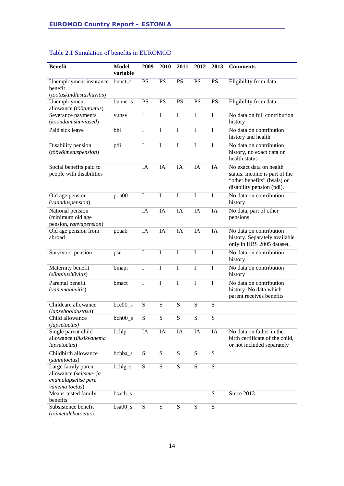|                                                                                        | <b>Model</b>  | 2009        | 2010        |                         |             |             |                                                                                                                      |
|----------------------------------------------------------------------------------------|---------------|-------------|-------------|-------------------------|-------------|-------------|----------------------------------------------------------------------------------------------------------------------|
| <b>Benefit</b>                                                                         | variable      |             |             | 2011                    | 2012        | 2013        | <b>Comments</b>                                                                                                      |
| Unemployment insurance<br>benefit                                                      | bunct_s       | <b>PS</b>   | <b>PS</b>   | <b>PS</b>               | <b>PS</b>   | <b>PS</b>   | Eligibility from data                                                                                                |
| (töötuskindlustushüvitis)                                                              |               |             |             |                         |             |             |                                                                                                                      |
| Unemployment<br>allowance (töötutoetus)                                                | $b$ unnc $_s$ | PS          | <b>PS</b>   | <b>PS</b>               | <b>PS</b>   | <b>PS</b>   | Eligibility from data                                                                                                |
| Severance payments                                                                     | yunsv         | $\mathbf I$ | I           | $\mathbf I$             | $\mathbf I$ | I           | No data on full contribution                                                                                         |
| (koondamishüvitised)                                                                   |               |             |             |                         |             |             | history                                                                                                              |
| Paid sick leave                                                                        | bhl           | I           | $\mathbf I$ | $\bf I$                 | I           | I           | No data on contribution<br>history and health                                                                        |
| Disability pension<br>(töövõimetuspension)                                             | pdi           | I           | $\bf I$     | $\mathbf I$             | $\rm I$     | $\rm I$     | No data on contribution<br>history, no exact data on<br>health status                                                |
| Social benefits paid to<br>people with disabilities                                    |               | IA          | IA          | IA                      | IA          | IA          | No exact data on health<br>status. Income is part of the<br>"other benefits" (bsals) or<br>disability pension (pdi). |
| Old age pension<br>(vanaduspension)                                                    | poa00         | $\bf I$     | I           | I                       | I           | I           | No data on contribution<br>history                                                                                   |
| National pension<br>(minimum old age<br>pension, rahvapension)                         |               | IA          | IA          | IA                      | IA          | IA          | No data, part of other<br>pensions                                                                                   |
| Old age pension from<br>abroad                                                         | poaab         | IA          | IA          | IA                      | IA          | IA          | No data on contribution<br>history. Separately available<br>only in HBS 2005 dataset.                                |
| Survivors' pension                                                                     | psu           | I           | $\bf I$     | $\bf I$                 | $\mathbf I$ | I           | No data on contribution<br>history                                                                                   |
| Maternity benefit<br>(sünnitushüvitis)                                                 | bmapr         | $\bf I$     | $\bf I$     | $\mathbf I$             | $\mathbf I$ | $\mathbf I$ | No data on contribution<br>history                                                                                   |
| Parental benefit<br>(vanemahüvitis)                                                    | bmact         | I           | $\mathbf I$ | $\overline{\mathrm{I}}$ | I           | $\mathbf I$ | No data on contribution<br>history. No data which<br>parent receives benefits                                        |
| Childcare allowance<br>(lapsehooldustasu)                                              | $bcc00_s$     | S           | ${\bf S}$   | S                       | S           | S           |                                                                                                                      |
| Child allowance<br>(lapsetoetus)                                                       | $beh00_s$     | ${\bf S}$   | S           | S                       | S           | S           |                                                                                                                      |
| Single parent child<br>allowance (üksikvanema<br>lapsetoetus)                          | bchlp         | IA          | IA          | IA                      | IA          | IA          | No data on father in the<br>birth certificate of the child,<br>or not included separately                            |
| Childbirth allowance<br>(sünnitoetus)                                                  | bchba_s       | S           | S           | ${\bf S}$               | ${\bf S}$   | S           |                                                                                                                      |
| Large family parent<br>allowance (seitsme- ja<br>enamalapselise pere<br>vanema toetus) | $bchlg_s$     | S           | ${\bf S}$   | S                       | S           | ${\bf S}$   |                                                                                                                      |
| Means-tested family<br>benefits                                                        | bsach_s       |             |             |                         |             | S           | Since 2013                                                                                                           |
| Subsistence benefit<br>(toimetulekutoetus)                                             | $bsa00_s$     | S           | S           | ${\bf S}$               | S           | ${\bf S}$   |                                                                                                                      |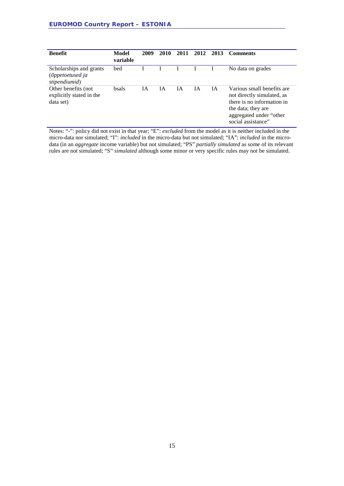| <b>Benefit</b>                                                | Model<br>variable | 2009 | 2010 | 2011 | 2012 | 2013 | <b>Comments</b>                                                                                                                                               |
|---------------------------------------------------------------|-------------------|------|------|------|------|------|---------------------------------------------------------------------------------------------------------------------------------------------------------------|
| Scholarships and grants<br>(õppetoetused ja<br>stipendiumid)  | bed               |      |      |      |      |      | No data on grades                                                                                                                                             |
| Other benefits (not)<br>explicitly stated in the<br>data set) | <b>bsals</b>      | ĪА   | ΙA   | ĪА   | ĪА   | ĪА   | Various small benefits are<br>not directly simulated, as<br>there is no information in<br>the data; they are<br>aggregated under "other<br>social assistance" |

Notes: "-": policy did not exist in that year; "E": *excluded* from the model as it is neither included in the micro-data nor simulated; "I": *included* in the micro-data but not simulated; "IA": *included* in the microdata (in an *aggregate* income variable) but not simulated; "PS" *partially simulated* as some of its relevant rules are not simulated; "S" *simulated* although some minor or very specific rules may not be simulated.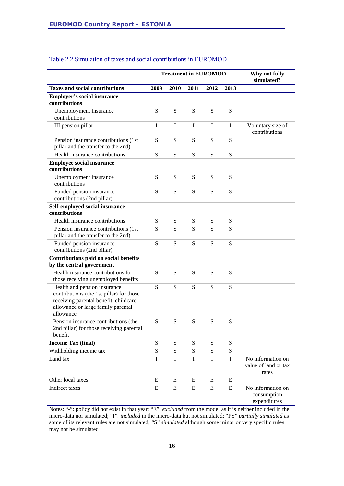|                                                                                                                                                                      |      | <b>Treatment in EUROMOD</b> | Why not fully<br>simulated? |      |             |                                                    |
|----------------------------------------------------------------------------------------------------------------------------------------------------------------------|------|-----------------------------|-----------------------------|------|-------------|----------------------------------------------------|
| <b>Taxes and social contributions</b>                                                                                                                                | 2009 | 2010                        | 2011                        | 2012 | 2013        |                                                    |
| <b>Employer's social insurance</b><br>contributions                                                                                                                  |      |                             |                             |      |             |                                                    |
| Unemployment insurance<br>contributions                                                                                                                              | S    | S                           | S                           | S    | S           |                                                    |
| III pension pillar                                                                                                                                                   | I    | $\mathbf I$                 | $\mathbf I$                 | T    | $\mathbf I$ | Voluntary size of<br>contributions                 |
| Pension insurance contributions (1st<br>pillar and the transfer to the 2nd)                                                                                          | S    | S                           | S                           | S    | S           |                                                    |
| Health insurance contributions                                                                                                                                       | S    | S                           | S                           | S    | S           |                                                    |
| <b>Employee social insurance</b><br>contributions                                                                                                                    |      |                             |                             |      |             |                                                    |
| Unemployment insurance<br>contributions                                                                                                                              | S    | S                           | S                           | S    | S           |                                                    |
| Funded pension insurance<br>contributions (2nd pillar)                                                                                                               | S    | ${\bf S}$                   | S                           | S    | S           |                                                    |
| Self-employed social insurance                                                                                                                                       |      |                             |                             |      |             |                                                    |
| contributions                                                                                                                                                        |      |                             |                             |      |             |                                                    |
| Health insurance contributions                                                                                                                                       | S    | S                           | S                           | S    | S           |                                                    |
| Pension insurance contributions (1st<br>pillar and the transfer to the 2nd)                                                                                          | S    | S                           | S                           | S    | S           |                                                    |
| Funded pension insurance<br>contributions (2nd pillar)                                                                                                               | S    | S                           | S                           | S    | S           |                                                    |
| <b>Contributions paid on social benefits</b><br>by the central government                                                                                            |      |                             |                             |      |             |                                                    |
| Health insurance contributions for<br>those receiving unemployed benefits                                                                                            | S    | S                           | S                           | S    | S           |                                                    |
| Health and pension insurance<br>contributions (the 1st pillar) for those<br>receiving parental benefit, childcare<br>allowance or large family parental<br>allowance | S    | S                           | S                           | S    | S           |                                                    |
| Pension insurance contributions (the<br>2nd pillar) for those receiving parental<br>benefit                                                                          | S    | S                           | S                           | S    | S           |                                                    |
| <b>Income Tax (final)</b>                                                                                                                                            | S    | ${\bf S}$                   | S                           | S    | S           |                                                    |
| Withholding income tax                                                                                                                                               | S    | S                           | S                           | S    | S           |                                                    |
| Land tax                                                                                                                                                             | I    | I                           | I                           | I    | I           | No information on<br>value of land or tax<br>rates |
| Other local taxes                                                                                                                                                    | E    | E                           | E                           | Е    | Ε           |                                                    |
| Indirect taxes                                                                                                                                                       | E    | ${\bf E}$                   | E                           | E    | E           | No information on<br>consumption<br>expenditures   |

#### Table 2.2 Simulation of taxes and social contributions in EUROMOD

Notes: "-": policy did not exist in that year; "E": *excluded* from the model as it is neither included in the micro-data nor simulated; "I": *included* in the micro-data but not simulated; "PS" *partially simulated* as some of its relevant rules are not simulated; "S" *simulated* although some minor or very specific rules may not be simulated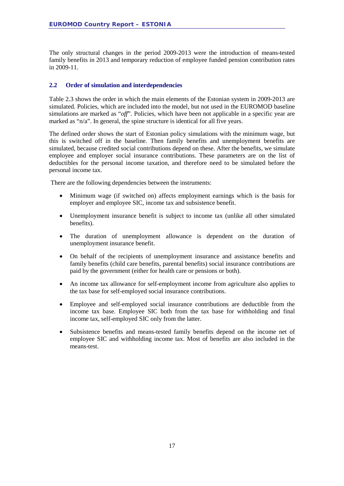The only structural changes in the period 2009-2013 were the introduction of means-tested family benefits in 2013 and temporary reduction of employee funded pension contribution rates in 2009-11.

#### <span id="page-16-0"></span>**2.2 Order of simulation and interdependencies**

Table 2.3 shows the order in which the main elements of the Estonian system in 2009-2013 are simulated. Policies, which are included into the model, but not used in the EUROMOD baseline simulations are marked as "*off*". Policies, which have been not applicable in a specific year are marked as "n/a". In general, the spine structure is identical for all five years.

The defined order shows the start of Estonian policy simulations with the minimum wage, but this is switched off in the baseline. Then family benefits and unemployment benefits are simulated, because credited social contributions depend on these. After the benefits, we simulate employee and employer social insurance contributions. These parameters are on the list of deductibles for the personal income taxation, and therefore need to be simulated before the personal income tax.

There are the following dependencies between the instruments:

- Minimum wage (if switched on) affects employment earnings which is the basis for employer and employee SIC, income tax and subsistence benefit.
- Unemployment insurance benefit is subject to income tax (unlike all other simulated benefits).
- The duration of unemployment allowance is dependent on the duration of unemployment insurance benefit.
- On behalf of the recipients of unemployment insurance and assistance benefits and family benefits (child care benefits, parental benefits) social insurance contributions are paid by the government (either for health care or pensions or both).
- An income tax allowance for self-employment income from agriculture also applies to the tax base for self-employed social insurance contributions.
- Employee and self-employed social insurance contributions are deductible from the income tax base. Employee SIC both from the tax base for withholding and final income tax, self-employed SIC only from the latter.
- Subsistence benefits and means-tested family benefits depend on the income net of employee SIC and withholding income tax. Most of benefits are also included in the means-test.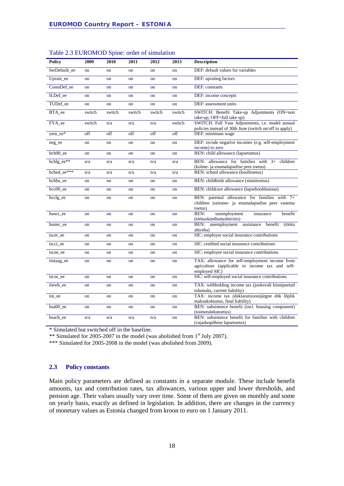| <b>Policy</b> | 2009   | 2010   | 2011   | 2012   | 2013          | <b>Description</b>                                                                                                 |
|---------------|--------|--------|--------|--------|---------------|--------------------------------------------------------------------------------------------------------------------|
| SetDefault_ee | on     | on     | on     | on     | on            | DEF: default values for variables                                                                                  |
| Uprate_ee     | on     | on     | on     | on     | on            | DEF: uprating factors                                                                                              |
| ConstDef ee   | on     | on     | on     | on     | on            | DEF: constants                                                                                                     |
| ILDef_ee      | on     | on     | on     | on     | on            | DEF: income concepts                                                                                               |
| TUDef ee      | on     | on     | on     | on     | on            | DEF: assessment units                                                                                              |
| BTA_ee        | switch | switch | switch | switch | switch        | SWITCH: Benefit Take-up Adjustments (ON=non<br>take-up; OFF=full take up)                                          |
| FYA_ee        | switch | n/a    | n/a    | n/a    | switch        | SWITCH: Full Year Adjustments, i.e. model annual<br>policies instead of 30th June (switch on/off to apply)         |
| yem_ee*       | off    | off    | off    | off    | off           | DEF: minimum wage                                                                                                  |
| neg_ee        | on     | on     | on     | on     | on            | DEF: recode negative incomes (e.g. self-employment<br>income) to zero                                              |
| bch00 ee      | on     | on     | on     | on     | on            | BEN: child allowance (lapsetoetus)                                                                                 |
| bchlg_ee**    | n/a    | n/a    | n/a    | n/a    | n/a           | BEN: allowance for families with 3+ children<br>(kolme- ja enamalapselise pere toetus)                             |
| bched_ee***   | n/a    | n/a    | n/a    | n/a    | n/a           | BEN: school allowance (koolitoetus)                                                                                |
| bchba_ee      | on     | on     | on     | on     | on            | BEN: childbirth allowance (sünnitoetus)                                                                            |
| $bcc00_ee$    | on     | on     | on     | on     | on            | BEN: childcare allowance (lapsehooldustasu)                                                                        |
| bcclg_ee      | on     | on     | on     | on     | on            | BEN: parental allowance for families with 7+<br>children (seitsme- ja enamalapselise pere vanema<br>toetus)        |
| bunct_ee      | on     | on     | on     | on     | on            | BEN:<br>unemployment<br>benefit<br>insurance<br>(töötuskindlustushüvitis)                                          |
| bunnc ee      | on     | on     | on     | on     | <sub>on</sub> | benefit<br>BEN:<br>unemployment<br>assistance<br>(töötu<br>abiraha)                                                |
| tscer_ee      | on     | on     | on     | on     | on            | SIC: employer social insurance contributions                                                                       |
| tscct_ee      | on     | on     | on     | on     | on            | SIC: credited social insurance contributions                                                                       |
| tscee_ee      | on     | on     | on     | on     | on            | SIC: employee social insurance contributions                                                                       |
| tintaag_ee    | on     | on     | on     | on     | on            | TAX: allowance for self-employment income from<br>agriculture (applicable to income tax and self-<br>employed SIC) |
| tscse_ee      | on     | on     | on     | on     | on            | SIC: self-employed social insurance contributions                                                                  |
| tinwh_ee      | on     | on     | on     | on     | on            | TAX: withholding income tax (jooksvalt kinnipeetud<br>tulumaks, current liability)                                 |
| tin_ee        | on     | on     | on     | on     | on            | TAX: income tax (deklaratsioonijärgne ehk lõplik<br>maksukohustus, final liability)                                |
| bsa00_ee      | on     | on     | on     | on     | on            | BEN: subsistence benefit (incl. housing component)<br>(toimetulekutoetus)                                          |
| bsach_ee      | n/a    | n/a    | n/a    | n/a    | on            | BEN: subsistence benefit for families with children<br>(vajaduspõhine lapsetoetus)                                 |

\* Simulated but switched off in the baseline.

\*\* Simulated for 2005-2007 in the model (was abolished from 1<sup>st</sup> July 2007).

\*\*\* Simulated for 2005-2008 in the model (was abolished from 2009).

#### <span id="page-17-0"></span>**2.3 Policy constants**

Main policy parameters are defined as constants in a separate module. These include benefit amounts, tax and contribution rates, tax allowances, various upper and lower thresholds, and pension age. Their values usually vary over time. Some of them are given on monthly and some on yearly basis, exactly as defined in legislation. In addition, there are changes in the currency of monetary values as Estonia changed from kroon to euro on 1 January 2011.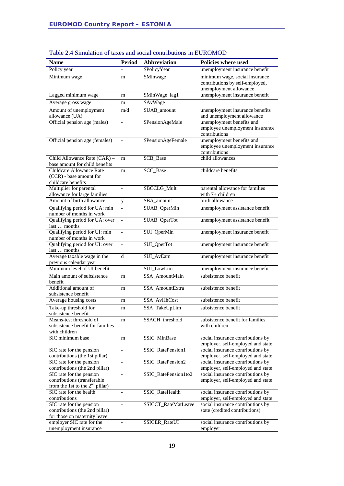| <b>Name</b>                                                                                         | <b>Period</b>            | <b>Abbreviation</b>   | Policies where used                                                                         |
|-----------------------------------------------------------------------------------------------------|--------------------------|-----------------------|---------------------------------------------------------------------------------------------|
| Policy year                                                                                         |                          | \$PolicyYear          | unemployment insurance benefit                                                              |
| Minimum wage                                                                                        | m                        | \$Minwage             | minimum wage, social insurance<br>contributions by self-employed,<br>unemployment allowance |
| Lagged minimum wage                                                                                 | m                        | \$MinWage_lag1        | unemployment insurance benefit                                                              |
|                                                                                                     |                          | \$AvWage              |                                                                                             |
| Average gross wage                                                                                  | m                        |                       |                                                                                             |
| Amount of unemployment<br>allowance (UA)                                                            | m/d                      | \$UAB_amount          | unemployment insurance benefits<br>and unemployment allowance                               |
| Official pension age (males)                                                                        |                          | \$PensionAgeMale      | unemployment benefits and<br>employee unemployment insurance<br>contributions               |
| Official pension age (females)                                                                      |                          | \$PensionAgeFemale    | unemployment benefits and<br>employee unemployment insurance<br>contributions               |
| Child Allowance Rate (CAR) -<br>base amount for child benefits                                      | m                        | \$CB_Base             | child allowances                                                                            |
| Childcare Allowance Rate<br>(CCR) - base amount for<br>childcare benefits                           | m                        | \$CC_Base             | childcare benefits                                                                          |
| Multiplier for parental<br>allowance for large families                                             | $\overline{\phantom{m}}$ | \$BCCLG_Mult          | parental allowance for families<br>with 7+ children                                         |
| Amount of birth allowance                                                                           | y                        | \$BA_amount           | birth allowance                                                                             |
| Qualifying period for UA: min<br>number of months in work                                           | $\overline{a}$           | \$UAB_QperMin         | unemployment assistance benefit                                                             |
| Qualifying period for UA: over<br>last  months                                                      | $\blacksquare$           | \$UAB_QperTot         | unemployment assistance benefit                                                             |
| Qualifying period for UI: min<br>number of months in work                                           | $\overline{a}$           | \$UI_QperMin          | unemployment insurance benefit                                                              |
| Qualifying period for UI: over<br>last  months                                                      | $\overline{a}$           | \$UI_QperTot          | unemployment insurance benefit                                                              |
| Average taxable wage in the<br>previous calendar year                                               | d                        | \$UI_AvEarn           | unemployment insurance benefit                                                              |
| Minimum level of UI benefit                                                                         |                          | \$UI_LowLim           | unemployment insurance benefit                                                              |
| Main amount of subsistence<br>benefit                                                               | m                        | \$SA_AmountMain       | subsistence benefit                                                                         |
| Additional amount of<br>subsistence benefit                                                         | m                        | \$SA_AmountExtra      | subsistence benefit                                                                         |
| Average housing costs                                                                               | m                        | \$SA_AvHhCost         | subsistence benefit                                                                         |
| Take-up threshold for                                                                               | m                        | \$SA_TakeUpLim        | subsistence benefit                                                                         |
| subsistence benefit<br>Means-test threshold of<br>subsistence benefit for families<br>with children | m                        | \$SACH_threshold      | subsistence benefit for families<br>with children                                           |
| SIC minimum base                                                                                    | m                        | \$SIC_MinBase         | social insurance contributions by<br>employer, self-employed and state                      |
| SIC rate for the pension<br>contributions (the 1st pillar)                                          |                          | \$SIC_RatePension1    | social insurance contributions by<br>employer, self-employed and state                      |
| SIC rate for the pension                                                                            |                          | \$SIC_RatePension2    | social insurance contributions by                                                           |
| contributions (the 2nd pillar)                                                                      |                          |                       | employer, self-employed and state                                                           |
| SIC rate for the pension<br>contributions (transferable<br>from the 1st to the $2nd$ pillar)        | $\qquad \qquad -$        | \$SIC_RatePension1to2 | social insurance contributions by<br>employer, self-employed and state                      |
| SIC rate for the health                                                                             |                          | \$SIC_RateHealth      | social insurance contributions by                                                           |
| contributions<br>SIC rate for the pension                                                           | $\overline{a}$           | \$SICCT_RateMatLeave  | employer, self-employed and state<br>social insurance contributions by                      |
| contributions (the 2nd pillar)                                                                      |                          |                       | state (credited contributions)                                                              |
| for those on maternity leave<br>employer SIC rate for the                                           |                          | \$SICER_RateUI        | social insurance contributions by                                                           |
| unemployment insurance                                                                              |                          |                       | employer                                                                                    |

#### Table 2.4 Simulation of taxes and social contributions in EUROMOD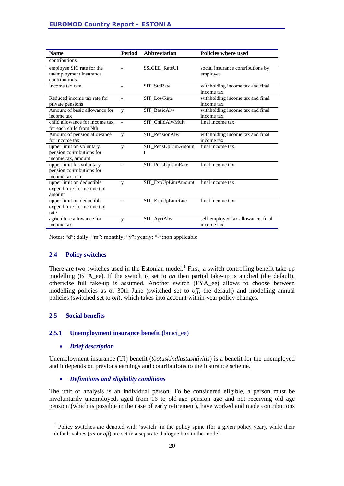| <b>Name</b>                                                                 | <b>Period</b>            | <b>Abbreviation</b>      | Policies where used                              |
|-----------------------------------------------------------------------------|--------------------------|--------------------------|--------------------------------------------------|
| contributions                                                               |                          |                          |                                                  |
| employee SIC rate for the<br>unemployment insurance<br>contributions        |                          | <b>\$SICEE_RateUI</b>    | social insurance contributions by<br>employee    |
| Income tax rate                                                             |                          | \$IT StdRate             | withholding income tax and final<br>income tax   |
| Reduced income tax rate for<br>private pensions                             |                          | \$IT LowRate             | withholding income tax and final<br>income tax   |
| Amount of basic allowance for<br>income tax                                 | y                        | \$IT_BasicAlw            | withholding income tax and final<br>income tax   |
| child allowance for income tax.<br>for each child from Nth                  | $\overline{\phantom{0}}$ | \$IT ChildAlwMult        | final income tax                                 |
| Amount of pension allowance<br>for income tax                               | y                        | \$IT_PensionAlw          | withholding income tax and final<br>income tax   |
| upper limit on voluntary<br>pension contributions for<br>income tax, amount | y                        | \$IT_PensUpLimAmoun<br>t | final income tax                                 |
| upper limit for voluntary<br>pension contributions for<br>income tax, rate  |                          | \$IT_PensUpLimRate       | final income tax                                 |
| upper limit on deductible<br>expenditure for income tax,<br>amount          | y                        | \$IT_ExpUpLimAmount      | final income tax                                 |
| upper limit on deductible<br>expenditure for income tax,<br>rate            |                          | \$IT_ExpUpLimRate        | final income tax                                 |
| agriculture allowance for<br>income tax                                     | y                        | \$IT AgriAlw             | self-employed tax allowance, final<br>income tax |

Notes: "d": daily; "m": monthly; "y": yearly; "-":non applicable

#### <span id="page-19-0"></span>**2.4 Policy switches**

There are two switches used in the Estonian model.<sup>[1](#page-19-3)</sup> First, a switch controlling benefit take-up modelling (BTA\_ee). If the switch is set to *on* then partial take-up is applied (the default), otherwise full take-up is assumed. Another switch (FYA\_ee) allows to choose between modelling policies as of 30th June (switched set to *off*, the default) and modelling annual policies (switched set to *on*), which takes into account within-year policy changes.

#### <span id="page-19-1"></span>**2.5 Social benefits**

#### <span id="page-19-2"></span>**2.5.1 Unemployment insurance benefit (**bunct\_ee)

#### • *Brief description*

Unemployment insurance (UI) benefit (*töötuskindlustushüvitis*) is a benefit for the unemployed and it depends on previous earnings and contributions to the insurance scheme.

• *Definitions and eligibility conditions*

The unit of analysis is an individual person. To be considered eligible, a person must be involuntarily unemployed, aged from 16 to old-age pension age and not receiving old age pension (which is possible in the case of early retirement), have worked and made contributions

<span id="page-19-3"></span> $<sup>1</sup>$  Policy switches are denoted with 'switch' in the policy spine (for a given policy year), while their</sup> default values (*on* or *off*) are set in a separate dialogue box in the model.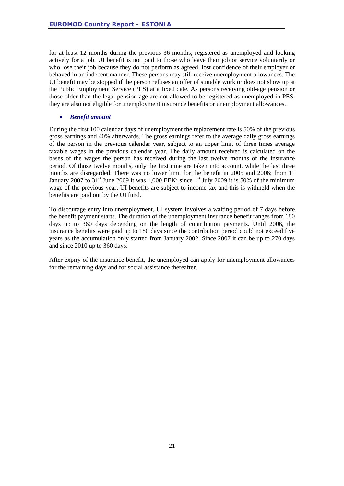for at least 12 months during the previous 36 months, registered as unemployed and looking actively for a job. UI benefit is not paid to those who leave their job or service voluntarily or who lose their job because they do not perform as agreed, lost confidence of their employer or behaved in an indecent manner. These persons may still receive unemployment allowances. The UI benefit may be stopped if the person refuses an offer of suitable work or does not show up at the Public Employment Service (PES) at a fixed date. As persons receiving old-age pension or those older than the legal pension age are not allowed to be registered as unemployed in PES, they are also not eligible for unemployment insurance benefits or unemployment allowances.

#### • *Benefit amount*

During the first 100 calendar days of unemployment the replacement rate is 50% of the previous gross earnings and 40% afterwards. The gross earnings refer to the average daily gross earnings of the person in the previous calendar year, subject to an upper limit of three times average taxable wages in the previous calendar year. The daily amount received is calculated on the bases of the wages the person has received during the last twelve months of the insurance period. Of those twelve months, only the first nine are taken into account, while the last three months are disregarded. There was no lower limit for the benefit in 2005 and 2006; from  $1<sup>st</sup>$ January 2007 to  $31<sup>st</sup>$  June 2009 it was 1,000 EEK; since  $1<sup>st</sup>$  July 2009 it is 50% of the minimum wage of the previous year. UI benefits are subject to income tax and this is withheld when the benefits are paid out by the UI fund.

To discourage entry into unemployment, UI system involves a waiting period of 7 days before the benefit payment starts. The duration of the unemployment insurance benefit ranges from 180 days up to 360 days depending on the length of contribution payments. Until 2006, the insurance benefits were paid up to 180 days since the contribution period could not exceed five years as the accumulation only started from January 2002. Since 2007 it can be up to 270 days and since 2010 up to 360 days.

After expiry of the insurance benefit, the unemployed can apply for unemployment allowances for the remaining days and for social assistance thereafter.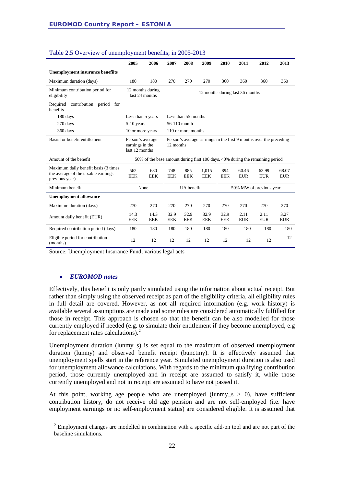|                                                                                               | 2005               | 2006                               | 2007                                                                            | 2008                            | 2009                | 2010               | 2011                | 2012                | 2013                |  |
|-----------------------------------------------------------------------------------------------|--------------------|------------------------------------|---------------------------------------------------------------------------------|---------------------------------|---------------------|--------------------|---------------------|---------------------|---------------------|--|
| <b>Unemployment insurance benefiits</b>                                                       |                    |                                    |                                                                                 |                                 |                     |                    |                     |                     |                     |  |
| Maximum duration (days)                                                                       | 180                | 180                                | 270                                                                             | 270                             | 270                 | 360                | 360                 | 360                 | 360                 |  |
| Minimum contribution period for<br>eligibility                                                |                    | 12 months during<br>last 24 months |                                                                                 | 12 months during last 36 months |                     |                    |                     |                     |                     |  |
| contribution period<br>Required<br>for<br>benefits                                            |                    |                                    |                                                                                 |                                 |                     |                    |                     |                     |                     |  |
| 180 days                                                                                      | Less than 5 years  |                                    |                                                                                 | Less than 55 months             |                     |                    |                     |                     |                     |  |
| 270 days                                                                                      | $5-10$ years       |                                    |                                                                                 | 56-110 month                    |                     |                    |                     |                     |                     |  |
| 360 days                                                                                      | 10 or more years   |                                    |                                                                                 | 110 or more months              |                     |                    |                     |                     |                     |  |
| Basis for benefit entitlement<br>Person's average<br>earnings in the<br>last 12 months        |                    |                                    | Person's average earnings in the first 9 months over the preceding<br>12 months |                                 |                     |                    |                     |                     |                     |  |
| Amount of the benefit                                                                         |                    |                                    | 50% of the base amount during first 100 days, 40% during the remaining period   |                                 |                     |                    |                     |                     |                     |  |
| Maximum daily benefit basis (3 times<br>the average of the taxable earnings<br>previous year) | 562<br><b>EEK</b>  | 630<br><b>EEK</b>                  | 748<br><b>EEK</b>                                                               | 885<br><b>EEK</b>               | 1,015<br><b>EEK</b> | 894<br><b>EEK</b>  | 60.46<br><b>EUR</b> | 63.99<br><b>EUR</b> | 68.07<br><b>EUR</b> |  |
| Minimum benefit                                                                               |                    | None                               | UA benefit<br>50% MW of previous year                                           |                                 |                     |                    |                     |                     |                     |  |
| <b>Unemployment allowance</b>                                                                 |                    |                                    |                                                                                 |                                 |                     |                    |                     |                     |                     |  |
| Maximum duration (days)                                                                       | 270                | 270                                | 270                                                                             | 270                             | 270                 | 270                | 270                 | 270                 | 270                 |  |
| Amount daily benefit (EUR)                                                                    | 14.3<br><b>EEK</b> | 14.3<br><b>EEK</b>                 | 32.9<br><b>EEK</b>                                                              | 32.9<br><b>EEK</b>              | 32.9<br><b>EEK</b>  | 32.9<br><b>EEK</b> | 2.11<br><b>EUR</b>  | 2.11<br><b>EUR</b>  | 3.27<br><b>EUR</b>  |  |
| Required contribution period (days)                                                           | 180                | 180                                | 180                                                                             | 180                             | 180                 | 180                | 180                 | 180                 | 180                 |  |
| Eligible period for contribution<br>(months)                                                  | 12                 | 12                                 | 12                                                                              | 12                              | 12                  | 12                 | 12                  | 12                  | 12                  |  |

#### Table 2.5 Overview of unemployment benefits; in 2005-2013

Source: Unemployment Insurance Fund; various legal acts

#### • *EUROMOD notes*

Effectively, this benefit is only partly simulated using the information about actual receipt. But rather than simply using the observed receipt as part of the eligibility criteria, all eligibility rules in full detail are covered. However, as not all required information (e.g. work history) is available several assumptions are made and some rules are considered automatically fulfilled for those in receipt. This approach is chosen so that the benefit can be also modelled for those currently employed if needed (e.g. to simulate their entitlement if they become unemployed, e.g for replacement rates calculations).<sup>[2](#page-21-0)</sup>

Unemployment duration (lunmy\_s) is set equal to the maximum of observed unemployment duration (lunmy) and observed benefit receipt (bunctmy). It is effectively assumed that unemployment spells start in the reference year. Simulated unemployment duration is also used for unemployment allowance calculations. With regards to the minimum qualifying contribution period, those currently unemployed and in receipt are assumed to satisfy it, while those currently unemployed and not in receipt are assumed to have not passed it.

At this point, working age people who are unemployed (lunmy  $s > 0$ ), have sufficient contribution history, do not receive old age pension and are not self-employed (i.e. have employment earnings or no self-employment status) are considered eligible. It is assumed that

<span id="page-21-0"></span><sup>&</sup>lt;sup>2</sup> Employment changes are modelled in combination with a specific add-on tool and are not part of the baseline simulations.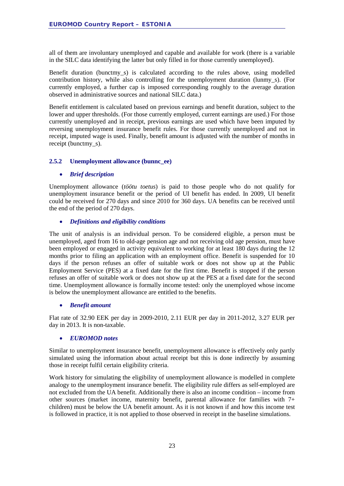all of them are involuntary unemployed and capable and available for work (there is a variable in the SILC data identifying the latter but only filled in for those currently unemployed).

Benefit duration (bunctmy\_s) is calculated according to the rules above, using modelled contribution history, while also controlling for the unemployment duration (lunmy\_s). (For currently employed, a further cap is imposed corresponding roughly to the average duration observed in administrative sources and national SILC data.)

Benefit entitlement is calculated based on previous earnings and benefit duration, subject to the lower and upper thresholds. (For those currently employed, current earnings are used.) For those currently unemployed and in receipt, previous earnings are used which have been imputed by reversing unemployment insurance benefit rules. For those currently unemployed and not in receipt, imputed wage is used. Finally, benefit amount is adjusted with the number of months in receipt (bunctmy s).

#### <span id="page-22-0"></span>**2.5.2 Unemployment allowance (bunnc\_ee)**

#### • *Brief description*

Unemployment allowance (*töötu toetus*) is paid to those people who do not qualify for unemployment insurance benefit or the period of UI benefit has ended. In 2009, UI benefit could be received for 270 days and since 2010 for 360 days. UA benefits can be received until the end of the period of 270 days.

#### • *Definitions and eligibility conditions*

The unit of analysis is an individual person. To be considered eligible, a person must be unemployed, aged from 16 to old-age pension age and not receiving old age pension, must have been employed or engaged in activity equivalent to working for at least 180 days during the 12 months prior to filing an application with an employment office. Benefit is suspended for 10 days if the person refuses an offer of suitable work or does not show up at the Public Employment Service (PES) at a fixed date for the first time. Benefit is stopped if the person refuses an offer of suitable work or does not show up at the PES at a fixed date for the second time. Unemployment allowance is formally income tested: only the unemployed whose income is below the unemployment allowance are entitled to the benefits.

#### • *Benefit amount*

Flat rate of 32.90 EEK per day in 2009-2010, 2.11 EUR per day in 2011-2012, 3.27 EUR per day in 2013. It is non-taxable.

#### • *EUROMOD notes*

Similar to unemployment insurance benefit, unemployment allowance is effectively only partly simulated using the information about actual receipt but this is done indirectly by assuming those in receipt fulfil certain eligibility criteria.

Work history for simulating the eligibility of unemployment allowance is modelled in complete analogy to the unemployment insurance benefit. The eligibility rule differs as self-employed are not excluded from the UA benefit. Additionally there is also an income condition – income from other sources (market income, maternity benefit, parental allowance for families with 7+ children) must be below the UA benefit amount. As it is not known if and how this income test is followed in practice, it is not applied to those observed in receipt in the baseline simulations.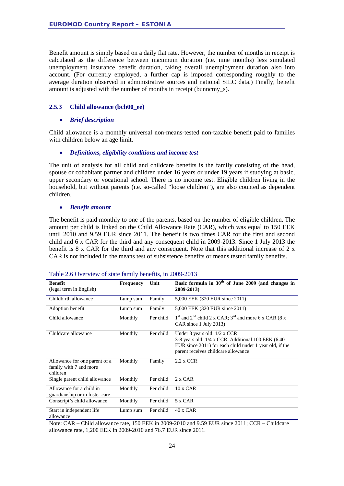Benefit amount is simply based on a daily flat rate. However, the number of months in receipt is calculated as the difference between maximum duration (i.e. nine months) less simulated unemployment insurance benefit duration, taking overall unemployment duration also into account. (For currently employed, a further cap is imposed corresponding roughly to the average duration observed in administrative sources and national SILC data.) Finally, benefit amount is adjusted with the number of months in receipt (bunncmy\_s).

#### <span id="page-23-0"></span>**2.5.3 Child allowance (bch00\_ee)**

#### • *Brief description*

Child allowance is a monthly universal non-means-tested non-taxable benefit paid to families with children below an age limit.

#### • *Definitions, eligibility conditions and income test*

The unit of analysis for all child and childcare benefits is the family consisting of the head, spouse or cohabitant partner and children under 16 years or under 19 years if studying at basic, upper secondary or vocational school. There is no income test. Eligible children living in the household, but without parents (i.e. so-called "loose children"), are also counted as dependent children.

#### • *Benefit amount*

The benefit is paid monthly to one of the parents, based on the number of eligible children. The amount per child is linked on the Child Allowance Rate (CAR), which was equal to 150 EEK until 2010 and 9.59 EUR since 2011. The benefit is two times CAR for the first and second child and 6 x CAR for the third and any consequent child in 2009-2013. Since 1 July 2013 the benefit is 8 x CAR for the third and any consequent. Note that this additional increase of 2 x CAR is not included in the means test of subsistence benefits or means tested family benefits.

| <b>Benefit</b><br>(legal term in English)                           | <b>Frequency</b> | Unit      | Basic formula in $30th$ of June 2009 (and changes in<br>2009-2013)                                                                                                                      |
|---------------------------------------------------------------------|------------------|-----------|-----------------------------------------------------------------------------------------------------------------------------------------------------------------------------------------|
| Childbirth allowance                                                | Lump sum         | Family    | 5,000 EEK (320 EUR since 2011)                                                                                                                                                          |
| Adoption benefit                                                    | Lump sum         | Family    | 5,000 EEK (320 EUR since 2011)                                                                                                                                                          |
| Child allowance                                                     | Monthly          | Per child | $1st$ and $2nd$ child 2 x CAR; $3rd$ and more 6 x CAR (8 x<br>CAR since 1 July 2013)                                                                                                    |
| Childcare allowance                                                 | Monthly          | Per child | Under 3 years old: $1/2$ x CCR<br>3-8 years old: 1/4 x CCR. Additional 100 EEK (6.40)<br>EUR since 2011) for each child under 1 year old, if the<br>parent receives childcare allowance |
| Allowance for one parent of a<br>family with 7 and more<br>children | Monthly          | Family    | $2.2$ x CCR                                                                                                                                                                             |
| Single parent child allowance                                       | Monthly          | Per child | 2 x CAR                                                                                                                                                                                 |
| Allowance for a child in<br>guardianship or in foster care          | Monthly          | Per child | $10 \times CAR$                                                                                                                                                                         |
| Conscript's child allowance                                         | Monthly          | Per child | 5 x CAR                                                                                                                                                                                 |
| Start in independent life<br>allowance                              | Lump sum         | Per child | $40 \times CAR$                                                                                                                                                                         |

| Table 2.6 Overview of state family benefits, in 2009-2013 |  |  |  |
|-----------------------------------------------------------|--|--|--|
|                                                           |  |  |  |

Note: CAR – Child allowance rate, 150 EEK in 2009-2010 and 9.59 EUR since 2011; CCR – Childcare allowance rate, 1,200 EEK in 2009-2010 and 76.7 EUR since 2011.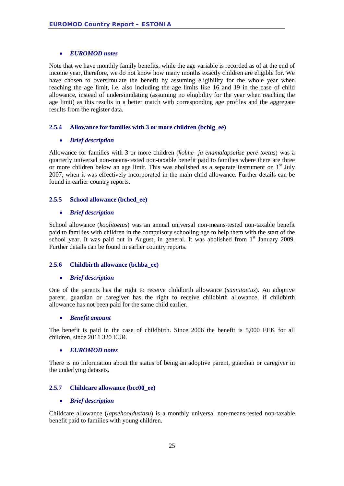#### • *EUROMOD notes*

Note that we have monthly family benefits, while the age variable is recorded as of at the end of income year, therefore, we do not know how many months exactly children are eligible for. We have chosen to oversimulate the benefit by assuming eligibility for the whole year when reaching the age limit, i.e. also including the age limits like 16 and 19 in the case of child allowance, instead of undersimulating (assuming no eligibility for the year when reaching the age limit) as this results in a better match with corresponding age profiles and the aggregate results from the register data.

#### <span id="page-24-0"></span>**2.5.4 Allowance for families with 3 or more children (bchlg\_ee)**

#### • *Brief description*

Allowance for families with 3 or more children (*kolme- ja enamalapselise pere toetus*) was a quarterly universal non-means-tested non-taxable benefit paid to families where there are three or more children below an age limit. This was abolished as a separate instrument on  $1<sup>st</sup>$  July 2007, when it was effectively incorporated in the main child allowance. Further details can be found in earlier country reports.

#### <span id="page-24-1"></span>**2.5.5 School allowance (bched\_ee)**

#### • *Brief description*

School allowance (*koolitoetus*) was an annual universal non-means-tested non-taxable benefit paid to families with children in the compulsory schooling age to help them with the start of the school year. It was paid out in August, in general. It was abolished from 1<sup>st</sup> January 2009. Further details can be found in earlier country reports.

#### <span id="page-24-2"></span>**2.5.6 Childbirth allowance (bchba\_ee)**

#### • *Brief description*

One of the parents has the right to receive childbirth allowance (*sünnitoetus*). An adoptive parent, guardian or caregiver has the right to receive childbirth allowance, if childbirth allowance has not been paid for the same child earlier.

#### • *Benefit amount*

The benefit is paid in the case of childbirth. Since 2006 the benefit is 5,000 EEK for all children, since 2011 320 EUR.

#### • *EUROMOD notes*

There is no information about the status of being an adoptive parent, guardian or caregiver in the underlying datasets.

#### <span id="page-24-3"></span>**2.5.7 Childcare allowance (bcc00\_ee)**

#### • *Brief description*

Childcare allowance (*lapsehooldustasu*) is a monthly universal non-means-tested non-taxable benefit paid to families with young children.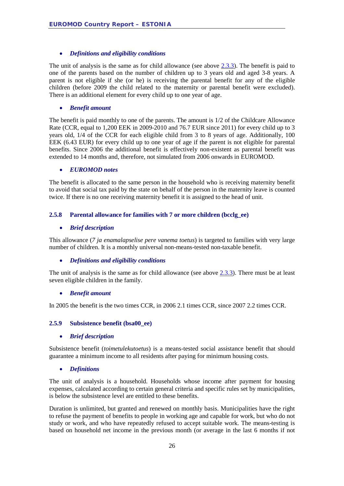#### • *Definitions and eligibility conditions*

The unit of analysis is the same as for child allowance (see above  $2.3.3$ ). The benefit is paid to one of the parents based on the number of children up to 3 years old and aged 3-8 years. A parent is not eligible if she (or he) is receiving the parental benefit for any of the eligible children (before 2009 the child related to the maternity or parental benefit were excluded). There is an additional element for every child up to one year of age.

#### • *Benefit amount*

The benefit is paid monthly to one of the parents. The amount is 1/2 of the Childcare Allowance Rate (CCR, equal to 1,200 EEK in 2009-2010 and 76.7 EUR since 2011) for every child up to 3 years old, 1/4 of the CCR for each eligible child from 3 to 8 years of age. Additionally, 100 EEK (6.43 EUR) for every child up to one year of age if the parent is not eligible for parental benefits. Since 2006 the additional benefit is effectively non-existent as parental benefit was extended to 14 months and, therefore, not simulated from 2006 onwards in EUROMOD.

#### • *EUROMOD notes*

The benefit is allocated to the same person in the household who is receiving maternity benefit to avoid that social tax paid by the state on behalf of the person in the maternity leave is counted twice. If there is no one receiving maternity benefit it is assigned to the head of unit.

#### <span id="page-25-0"></span>**2.5.8 Parental allowance for families with 7 or more children (bcclg\_ee)**

#### • *Brief description*

This allowance (*7 ja enamalapselise pere vanema toetus*) is targeted to families with very large number of children. It is a monthly universal non-means-tested non-taxable benefit.

#### • *Definitions and eligibility conditions*

The unit of analysis is the same as for child allowance (see above [2.3.3\)](#page-23-0). There must be at least seven eligible children in the family.

#### • *Benefit amount*

In 2005 the benefit is the two times CCR, in 2006 2.1 times CCR, since 2007 2.2 times CCR.

#### <span id="page-25-1"></span>**2.5.9 Subsistence benefit (bsa00\_ee)**

#### • *Brief description*

Subsistence benefit (*toimetulekutoetus*) is a means-tested social assistance benefit that should guarantee a minimum income to all residents after paying for minimum housing costs.

#### • *Definitions*

The unit of analysis is a household. Households whose income after payment for housing expenses, calculated according to certain general criteria and specific rules set by municipalities, is below the subsistence level are entitled to these benefits.

Duration is unlimited, but granted and renewed on monthly basis. Municipalities have the right to refuse the payment of benefits to people in working age and capable for work, but who do not study or work, and who have repeatedly refused to accept suitable work. The means-testing is based on household net income in the previous month (or average in the last 6 months if not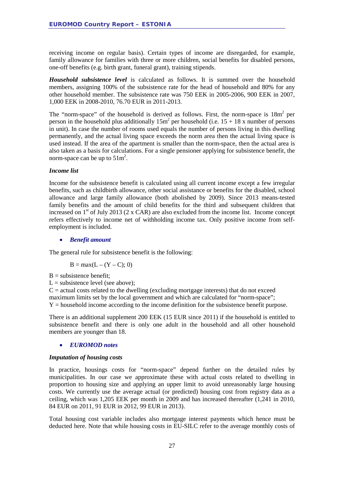receiving income on regular basis). Certain types of income are disregarded, for example, family allowance for families with three or more children, social benefits for disabled persons, one-off benefits (e.g. birth grant, funeral grant), training stipends.

*Household subsistence level* is calculated as follows. It is summed over the household members, assigning 100% of the subsistence rate for the head of household and 80% for any other household member. The subsistence rate was 750 EEK in 2005-2006, 900 EEK in 2007, 1,000 EEK in 2008-2010, 76.70 EUR in 2011-2013.

The "norm-space" of the household is derived as follows. First, the norm-space is  $18m<sup>2</sup>$  per person in the household plus additionally  $15m^2$  per household (i.e.  $15 + 18x$  number of persons in unit). In case the number of rooms used equals the number of persons living in this dwelling permanently, and the actual living space exceeds the norm area then the actual living space is used instead. If the area of the apartment is smaller than the norm-space, then the actual area is also taken as a basis for calculations. For a single pensioner applying for subsistence benefit, the norm-space can be up to  $51m^2$ .

#### *Income list*

Income for the subsistence benefit is calculated using all current income except a few irregular benefits, such as childbirth allowance, other social assistance or benefits for the disabled, school allowance and large family allowance (both abolished by 2009). Since 2013 means-tested family benefits and the amount of child benefits for the third and subsequent children that increased on  $1<sup>st</sup>$  of July 2013 (2 x CAR) are also excluded from the income list. Income concept refers effectively to income net of withholding income tax. Only positive income from selfemployment is included.

#### • *Benefit amount*

The general rule for subsistence benefit is the following:

$$
B = max(L - (Y - C); 0)
$$

 $B =$  subsistence benefit:

 $L =$  subsistence level (see above):

 $C =$  actual costs related to the dwelling (excluding mortgage interests) that do not exceed maximum limits set by the local government and which are calculated for "norm-space";  $Y =$  household income according to the income definition for the subsistence benefit purpose.

There is an additional supplement 200 EEK (15 EUR since 2011) if the household is entitled to subsistence benefit and there is only one adult in the household and all other household members are younger than 18.

#### • *EUROMOD notes*

#### *Imputation of housing costs*

In practice, housings costs for "norm-space" depend further on the detailed rules by municipalities. In our case we approximate these with actual costs related to dwelling in proportion to housing size and applying an upper limit to avoid unreasonably large housing costs. We currently use the average actual (or predicted) housing cost from registry data as a ceiling, which was 1,205 EEK per month in 2009 and has increased thereafter (1,241 in 2010, 84 EUR on 2011, 91 EUR in 2012, 99 EUR in 2013).

Total housing cost variable includes also mortgage interest payments which hence must be deducted here. Note that while housing costs in EU-SILC refer to the average monthly costs of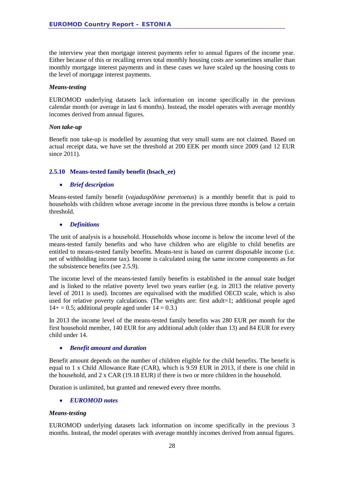the interview year then mortgage interest payments refer to annual figures of the income year. Either because of this or recalling errors total monthly housing costs are sometimes smaller than monthly mortgage interest payments and in these cases we have scaled up the housing costs to the level of mortgage interest payments.

#### *Means-testing*

EUROMOD underlying datasets lack information on income specifically in the previous calendar month (or average in last 6 months). Instead, the model operates with average monthly incomes derived from annual figures.

#### *Non take-up*

Benefit non take-up is modelled by assuming that very small sums are not claimed. Based on actual receipt data, we have set the threshold at 200 EEK per month since 2009 (and 12 EUR since 2011).

#### <span id="page-27-0"></span>**2.5.10 Means-tested family benefit (bsach\_ee)**

#### • *Brief description*

Means-tested family benefit (*vajaduspõhine peretoetus*) is a monthly benefit that is paid to households with children whose average income in the previous three months is below a certain threshold.

#### • *Definitions*

The unit of analysis is a household. Households whose income is below the income level of the means-tested family benefits and who have children who are eligible to child benefits are entitled to means-tested family benefits. Means-test is based on current disposable income (i.e. net of withholding income tax). Income is calculated using the same income components as for the subsistence benefits (see 2.5.9).

The income level of the means-tested family benefits is established in the annual state budget and is linked to the relative poverty level two years earlier (e.g. in 2013 the relative poverty level of 2011 is used). Incomes are equivalised with the modified OECD scale, which is also used for relative poverty calculations. (The weights are: first adult=1; additional people aged  $14+ = 0.5$ ; additional people aged under  $14 = 0.3$ .)

In 2013 the income level of the means-tested family benefits was 280 EUR per month for the first household member, 140 EUR for any additional adult (older than 13) and 84 EUR for every child under 14.

#### • *Benefit amount and duration*

Benefit amount depends on the number of children eligible for the child benefits. The benefit is equal to 1 x Child Allowance Rate (CAR), which is 9.59 EUR in 2013, if there is one child in the household, and  $2 \times \text{CAR}$  (19.18 EUR) if there is two or more children in the household.

Duration is unlimited, but granted and renewed every three months.

#### • *EUROMOD notes*

#### *Means-testing*

EUROMOD underlying datasets lack information on income specifically in the previous 3 months. Instead, the model operates with average monthly incomes derived from annual figures.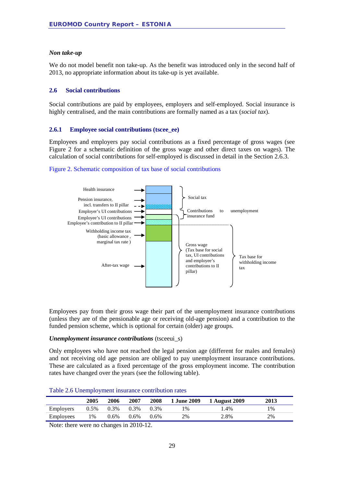#### *Non take-up*

We do not model benefit non take-up. As the benefit was introduced only in the second half of 2013, no appropriate information about its take-up is yet available.

#### <span id="page-28-0"></span>**2.6 Social contributions**

Social contributions are paid by employees, employers and self-employed. Social insurance is highly centralised, and the main contributions are formally named as a tax (*social tax*).

#### <span id="page-28-1"></span>**2.6.1 Employee social contributions (tscee\_ee)**

Employees and employers pay social contributions as a fixed percentage of gross wages (see Figure 2 for a schematic definition of the gross wage and other direct taxes on wages). The calculation of social contributions for self-employed is discussed in detail in the Section 2.6.3.





Employees pay from their gross wage their part of the unemployment insurance contributions (unless they are of the pensionable age or receiving old-age pension) and a contribution to the funded pension scheme, which is optional for certain (older) age groups.

#### *Unemployment insurance contributions* (tsceeui\_s)

Only employees who have not reached the legal pension age (different for males and females) and not receiving old age pension are obliged to pay unemployment insurance contributions. These are calculated as a fixed percentage of the gross employment income. The contribution rates have changed over the years (see the following table).

#### Table 2.6 Unemployment insurance contribution rates

|                  | 2005 | 2006    | 2007    | 2008    | <b>1 June 2009</b> | 1 August 2009 | <b>2013</b> |
|------------------|------|---------|---------|---------|--------------------|---------------|-------------|
| <b>Employers</b> | 0.5% | $0.3\%$ | $0.3\%$ | $0.3\%$ | 1%                 | 1.4%          | 1%          |
| Employees        | l %  | $0.6\%$ | $0.6\%$ | $0.6\%$ | 2%                 | 2.8%          | 2%          |

Note: there were no changes in 2010-12.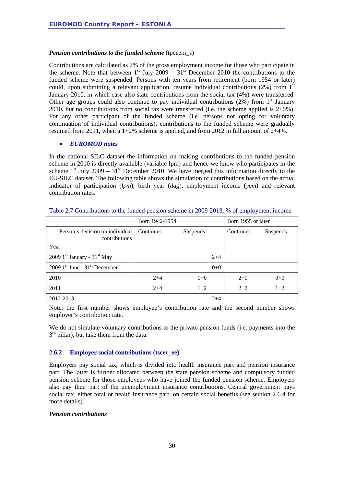#### *Pension contributions to the funded scheme* (tpceepi\_s)

Contributions are calculated as 2% of the gross employment income for those who participate in the scheme. Note that between  $1<sup>st</sup>$  July 2009 –  $31<sup>st</sup>$  December 2010 the contributions to the funded scheme were suspended. Persons with ten years from retirement (born 1954 or later) could, upon submitting a relevant application, resume individual contributions (2%) from  $1<sup>st</sup>$ January 2010, in which case also state contributions from the social tax (4%) were transferred. Other age groups could also continue to pay individual contributions  $(2%)$  from 1<sup>st</sup> January 2010, but no contributions from social tax were transferred (i.e. the scheme applied is 2+0%). For any other participant of the funded scheme (i.e. persons not opting for voluntary continuation of individual contributions), contributions to the funded scheme were gradually resumed from 2011, when a 1+2% scheme is applied, and from 2012 in full amount of  $2+4%$ .

#### • *EUROMOD notes*

In the national SILC dataset the information on making contributions to the funded pension scheme in 2010 is directly available (variable lpm) and hence we know who participates in the scheme  $1<sup>st</sup>$  July 2009 –  $31<sup>st</sup>$  December 2010. We have merged this information directly to the EU-SILC dataset. The following table shows the simulation of contributions based on the actual indicator of participation (*lpm*), birth year (*dag*), employment income (*yem*) and relevant contribution rates.

|                                                  | Born 1942-1954 |          | Born 1955 or later |          |  |
|--------------------------------------------------|----------------|----------|--------------------|----------|--|
| Person's decision on individual<br>contributions | Continues      | Suspends | Continues          | Suspends |  |
| Year                                             |                |          |                    |          |  |
| 2009 $1st$ January - 31 <sup>st</sup> May        |                | $2+4$    |                    |          |  |
| $2009$ 1 <sup>st</sup> June - $31st$ December    |                | $0+0$    |                    |          |  |
| 2010                                             | $2+4$          | $0 + 0$  | $2+0$              | $0 + 0$  |  |
| 2011                                             | $2+4$          | $1+2$    | $2+2$              | $1+2$    |  |
| 2012-2013                                        |                | $2+4$    |                    |          |  |

Table 2.7 Contributions to the funded pension scheme in 2009-2013, % of employment income

Note: the first number shows employee's contribution rate and the second number shows employer's contribution rate.

We do not simulate voluntary contributions to the private pension funds (i.e. payments into the  $3<sup>rd</sup>$  pillar), but take them from the data.

#### <span id="page-29-0"></span>**2.6.2 Employer social contributions (tscer\_ee)**

Employers pay social tax, which is divided into health insurance part and pension insurance part. The latter is further allocated between the state pension scheme and compulsory funded pension scheme for those employees who have joined the funded pension scheme. Employers also pay their part of the unemployment insurance contributions. Central government pays social tax, either total or health insurance part, on certain social benefits (see section 2.6.4 for more details).

#### *Pension contributions*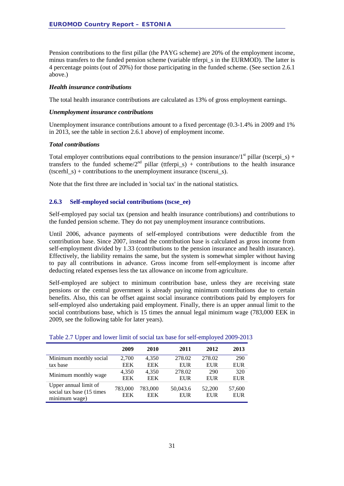Pension contributions to the first pillar (the PAYG scheme) are 20% of the employment income, minus transfers to the funded pension scheme (variable ttferpi\_s in the EURMOD). The latter is 4 percentage points (out of 20%) for those participating in the funded scheme. (See section 2.6.1 above.)

#### *Health insurance contributions*

The total health insurance contributions are calculated as 13% of gross employment earnings.

#### *Unemployment insurance contributions*

Unemployment insurance contributions amount to a fixed percentage (0.3-1.4% in 2009 and 1% in 2013, see the table in section 2.6.1 above) of employment income.

#### *Total contributions*

Total employer contributions equal contributions to the pension insurance/ $1<sup>st</sup>$  pillar (tscerpi\_s) + transfers to the funded scheme/ $2^{nd}$  pillar (ttferpi\_s) + contributions to the health insurance (tscerhl  $s$ ) + contributions to the unemployment insurance (tscerui  $s$ ).

Note that the first three are included in 'social tax' in the national statistics.

#### <span id="page-30-0"></span>**2.6.3 Self-employed social contributions (tscse\_ee)**

Self-employed pay social tax (pension and health insurance contributions) and contributions to the funded pension scheme. They do not pay unemployment insurance contributions.

Until 2006, advance payments of self-employed contributions were deductible from the contribution base. Since 2007, instead the contribution base is calculated as gross income from self-employment divided by 1.33 (contributions to the pension insurance and health insurance). Effectively, the liability remains the same, but the system is somewhat simpler without having to pay all contributions in advance. Gross income from self-employment is income after deducting related expenses less the tax allowance on income from agriculture.

Self-employed are subject to minimum contribution base, unless they are receiving state pensions or the central government is already paying minimum contributions due to certain benefits. Also, this can be offset against social insurance contributions paid by employers for self-employed also undertaking paid employment. Finally, there is an upper annual limit to the social contributions base, which is 15 times the annual legal minimum wage (783,000 EEK in 2009, see the following table for later years).

|                                                                      | 2009                  | 2010                  | 2011                   | 2012                 | 2013                 |
|----------------------------------------------------------------------|-----------------------|-----------------------|------------------------|----------------------|----------------------|
| Minimum monthly social                                               | 2,700                 | 4.350                 | 278.02                 | 278.02               | 290                  |
| tax base                                                             | <b>EEK</b>            | <b>EEK</b>            | <b>EUR</b>             | <b>EUR</b>           | <b>EUR</b>           |
| Minimum monthly wage                                                 | 4,350                 | 4.350                 | 278.02                 | 290                  | 320                  |
|                                                                      | <b>EEK</b>            | <b>EEK</b>            | <b>EUR</b>             | <b>EUR</b>           | <b>EUR</b>           |
| Upper annual limit of<br>social tax base (15 times)<br>minimum wage) | 783,000<br><b>EEK</b> | 783,000<br><b>EEK</b> | 50,043.6<br><b>EUR</b> | 52,200<br><b>EUR</b> | 57,600<br><b>EUR</b> |

#### Table 2.7 Upper and lower limit of social tax base for self-employed 2009-2013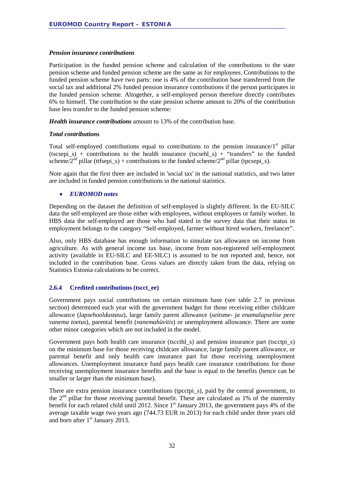#### *Pension insurance contributions*

Participation in the funded pension scheme and calculation of the contributions to the state pension scheme and funded pension scheme are the same as for employees. Contributions to the funded pension scheme have two parts: one is 4% of the contribution base transferred from the social tax and additional 2% funded pension insurance contributions if the person participates in the funded pension scheme. Altogether, a self-employed person therefore directly contributes 6% to himself. The contribution to the state pension scheme amount to 20% of the contribution base less transfer to the funded pension scheme:

*Health insurance contributions* amount to 13% of the contribution base.

#### *Total contributions*

Total self-employed contributions equal to contributions to the pension insurance/ $1<sup>st</sup>$  pillar (tscsepi s) + contributions to the health insurance (tscsehl s) + "transfers" to the funded scheme/2<sup>nd</sup> pillar (ttfsepi s) + contributions to the funded scheme/2<sup>nd</sup> pillar (tpcsepi s).

Note again that the first three are included in 'social tax' in the national statistics, and two latter are included in funded pension contributions in the national statistics.

#### • *EUROMOD notes*

Depending on the dataset the definition of self-employed is slightly different. In the EU-SILC data the self-employed are those either with employees, without employees or family worker. In HBS data the self-employed are those who had stated in the survey data that their status in employment belongs to the category "Self-employed, farmer without hired workers, freelancer".

Also, only HBS database has enough information to simulate tax allowance on income from agriculture. As with general income tax base, income from non-registered self-employment activity (available in EU-SILC and EE-SILC) is assumed to be not reported and, hence, not included in the contribution base. Gross values are directly taken from the data, relying on Statistics Estonia calculations to be correct.

#### <span id="page-31-0"></span>**2.6.4 Credited contributions (tscct\_ee)**

Government pays social contributions on certain minimum base (see table 2.7 in previous section) determined each year with the government budget for those receiving either childcare allowance (*lapsehooldustasu*), large family parent allowance (*seitsme- ja enamalapselise pere vanema toetus*), parental benefit (*vanemahüvitis*) or unemployment allowance. There are some other minor categories which are not included in the model.

Government pays both health care insurance (tsccthl\_s) and pension insurance part (tscctpi\_s) on the minimum base for those receiving childcare allowance, large family parent allowance, or parental benefit and only health care insurance part for those receiving unemployment allowances. Unemployment insurance fund pays health care insurance contributions for those receiving unemployment insurance benefits and the base is equal to the benefits (hence can be smaller or larger than the minimum base).

There are extra pension insurance contributions (tpcctpi\_s), paid by the central government, to the  $2<sup>nd</sup>$  pillar for those receiving parental benefit. These are calculated as 1% of the maternity benefit for each related child until 2012. Since 1<sup>st</sup> January 2013, the government pays 4% of the average taxable wage two years ago (744.73 EUR in 2013) for each child under three years old and born after  $1<sup>st</sup>$  January 2013.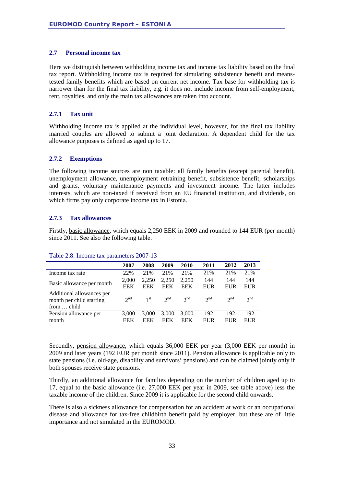#### <span id="page-32-0"></span>**2.7 Personal income tax**

Here we distinguish between withholding income tax and income tax liability based on the final tax report. Withholding income tax is required for simulating subsistence benefit and meanstested family benefits which are based on current net income. Tax base for withholding tax is narrower than for the final tax liability, e.g. it does not include income from self-employment, rent, royalties, and only the main tax allowances are taken into account.

#### <span id="page-32-1"></span>**2.7.1 Tax unit**

Withholding income tax is applied at the individual level, however, for the final tax liability married couples are allowed to submit a joint declaration. A dependent child for the tax allowance purposes is defined as aged up to 17.

#### <span id="page-32-2"></span>**2.7.2 Exemptions**

The following income sources are non taxable: all family benefits (except parental benefit), unemployment allowance, unemployment retraining benefit, subsistence benefit, scholarships and grants, voluntary maintenance payments and investment income. The latter includes interests, which are non-taxed if received from an EU financial institution, and dividends, on which firms pay only corporate income tax in Estonia.

#### <span id="page-32-3"></span>**2.7.3 Tax allowances**

Firstly, basic allowance, which equals 2,250 EEK in 2009 and rounded to 144 EUR (per month) since 2011. See also the following table.

|                                                                      | 2007         | 2008                | 2009         | 2010                | 2011       | 2012       | 2013       |
|----------------------------------------------------------------------|--------------|---------------------|--------------|---------------------|------------|------------|------------|
| Income tax rate                                                      | 22%          | 21%                 | 21%          | 21%                 | 21%        | 21%        | 21%        |
| Basic allowance per month                                            | 2,000<br>EEK | 2.250<br><b>EEK</b> | 2,250<br>EEK | 2.250<br><b>EEK</b> | 144<br>EUR | 144<br>EUR | 144<br>EUR |
| Additional allowances per<br>month per child starting<br>from  child | $2^{nd}$     | 1 <sup>st</sup>     | $2^{nd}$     | $2^{nd}$            | $2^{nd}$   | $2^{nd}$   | $2^{nd}$   |
| Pension allowance per<br>month                                       | 3,000<br>EEK | 3.000<br>EEK        | 3,000<br>EEK | 3,000<br>EEK        | 192<br>EUR | 192<br>EUR | 192<br>EUR |

#### Table 2.8. Income tax parameters 2007-13

Secondly, pension allowance, which equals 36,000 EEK per year (3,000 EEK per month) in 2009 and later years (192 EUR per month since 2011). Pension allowance is applicable only to state pensions (i.e. old-age, disability and survivors' pensions) and can be claimed jointly only if both spouses receive state pensions.

Thirdly, an additional allowance for families depending on the number of children aged up to 17, equal to the basic allowance (i.e. 27,000 EEK per year in 2009, see table above) less the taxable income of the children. Since 2009 it is applicable for the second child onwards.

There is also a sickness allowance for compensation for an accident at work or an occupational disease and allowance for tax-free childbirth benefit paid by employer, but these are of little importance and not simulated in the EUROMOD.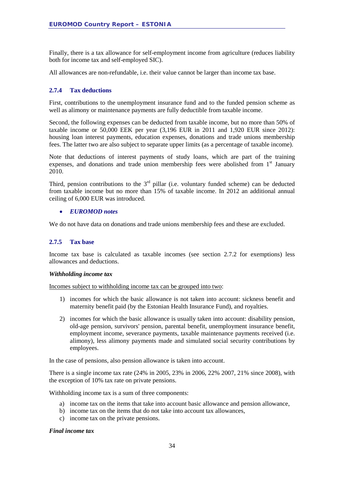Finally, there is a tax allowance for self-employment income from agriculture (reduces liability both for income tax and self-employed SIC).

All allowances are non-refundable, i.e. their value cannot be larger than income tax base.

#### <span id="page-33-0"></span>**2.7.4 Tax deductions**

First, contributions to the unemployment insurance fund and to the funded pension scheme as well as alimony or maintenance payments are fully deductible from taxable income.

Second, the following expenses can be deducted from taxable income, but no more than 50% of taxable income or 50,000 EEK per year (3,196 EUR in 2011 and 1,920 EUR since 2012): housing loan interest payments, education expenses, donations and trade unions membership fees. The latter two are also subject to separate upper limits (as a percentage of taxable income).

Note that deductions of interest payments of study loans, which are part of the training expenses, and donations and trade union membership fees were abolished from  $1<sup>st</sup>$  January 2010.

Third, pension contributions to the  $3<sup>rd</sup>$  pillar (i.e. voluntary funded scheme) can be deducted from taxable income but no more than 15% of taxable income. In 2012 an additional annual ceiling of 6,000 EUR was introduced.

#### • *EUROMOD notes*

We do not have data on donations and trade unions membership fees and these are excluded.

#### <span id="page-33-1"></span>**2.7.5 Tax base**

Income tax base is calculated as taxable incomes (see section 2.7.2 for exemptions) less allowances and deductions.

#### *Withholding income tax*

Incomes subject to withholding income tax can be grouped into two:

- 1) incomes for which the basic allowance is not taken into account: sickness benefit and maternity benefit paid (by the Estonian Health Insurance Fund), and royalties.
- 2) incomes for which the basic allowance is usually taken into account: disability pension, old-age pension, survivors' pension, parental benefit, unemployment insurance benefit, employment income, severance payments, taxable maintenance payments received (i.e. alimony), less alimony payments made and simulated social security contributions by employees.

In the case of pensions, also pension allowance is taken into account.

There is a single income tax rate (24% in 2005, 23% in 2006, 22% 2007, 21% since 2008), with the exception of 10% tax rate on private pensions.

Withholding income tax is a sum of three components:

- a) income tax on the items that take into account basic allowance and pension allowance,
- b) income tax on the items that do not take into account tax allowances,
- c) income tax on the private pensions.

#### *Final income tax*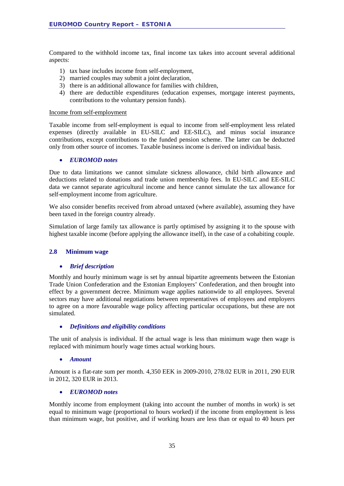Compared to the withhold income tax, final income tax takes into account several additional aspects:

- 1) tax base includes income from self-employment,
- 2) married couples may submit a joint declaration,
- 3) there is an additional allowance for families with children,
- 4) there are deductible expenditures (education expenses, mortgage interest payments, contributions to the voluntary pension funds).

#### Income from self-employment

Taxable income from self-employment is equal to income from self-employment less related expenses (directly available in EU-SILC and EE-SILC), and minus social insurance contributions, except contributions to the funded pension scheme. The latter can be deducted only from other source of incomes. Taxable business income is derived on individual basis.

#### • *EUROMOD notes*

Due to data limitations we cannot simulate sickness allowance, child birth allowance and deductions related to donations and trade union membership fees. In EU-SILC and EE-SILC data we cannot separate agricultural income and hence cannot simulate the tax allowance for self-employment income from agriculture.

We also consider benefits received from abroad untaxed (where available), assuming they have been taxed in the foreign country already.

Simulation of large family tax allowance is partly optimised by assigning it to the spouse with highest taxable income (before applying the allowance itself), in the case of a cohabiting couple.

#### <span id="page-34-0"></span>**2.8 Minimum wage**

#### • *Brief description*

Monthly and hourly minimum wage is set by annual bipartite agreements between the Estonian Trade Union Confederation and the Estonian Employers' Confederation, and then brought into effect by a government decree. Minimum wage applies nationwide to all employees. Several sectors may have additional negotiations between representatives of employees and employers to agree on a more favourable wage policy affecting particular occupations, but these are not simulated.

#### • *Definitions and eligibility conditions*

The unit of analysis is individual. If the actual wage is less than minimum wage then wage is replaced with minimum hourly wage times actual working hours.

#### • *Amount*

Amount is a flat-rate sum per month. 4,350 EEK in 2009-2010, 278.02 EUR in 2011, 290 EUR in 2012, 320 EUR in 2013.

#### • *EUROMOD notes*

Monthly income from employment (taking into account the number of months in work) is set equal to minimum wage (proportional to hours worked) if the income from employment is less than minimum wage, but positive, and if working hours are less than or equal to 40 hours per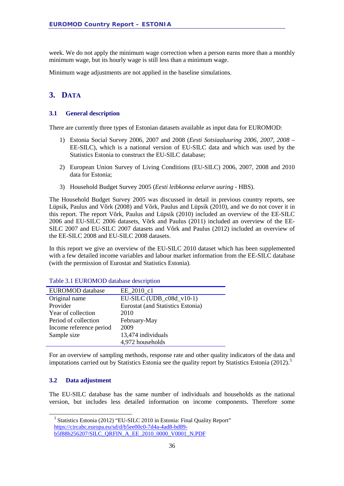week. We do not apply the minimum wage correction when a person earns more than a monthly minimum wage, but its hourly wage is still less than a minimum wage.

<span id="page-35-0"></span>Minimum wage adjustments are not applied in the baseline simulations.

### **3. DATA**

#### <span id="page-35-1"></span>**3.1 General description**

There are currently three types of Estonian datasets available as input data for EUROMOD:

- 1) Estonia Social Survey 2006, 2007 and 2008 (*Eesti Sotsiaaluuring 2006, 2007, 2008 –* EE-SILC), which is a national version of EU-SILC data and which was used by the Statistics Estonia to construct the EU-SILC database;
- 2) European Union Survey of Living Conditions (EU-SILC) 2006, 2007, 2008 and 2010 data for Estonia;
- 3) Household Budget Survey 2005 (*Eesti leibkonna eelarve uuring -* HBS).

The Household Budget Survey 2005 was discussed in detail in previous country reports, see Lüpsik, Paulus and Võrk (2008) and Võrk, Paulus and Lüpsik (2010), and we do not cover it in this report. The report Võrk, Paulus and Lüpsik (2010) included an overview of the EE-SILC 2006 and EU-SILC 2006 datasets, Võrk and Paulus (2011) included an overview of the EE-SILC 2007 and EU-SILC 2007 datasets and Võrk and Paulus (2012) included an overview of the EE-SILC 2008 and EU-SILC 2008 datasets.

In this report we give an overview of the EU-SILC 2010 dataset which has been supplemented with a few detailed income variables and labour market information from the EE-SILC database (with the permission of Eurostat and Statistics Estonia).

| <b>EUROMOD</b> database | EE 2010 c1                        |
|-------------------------|-----------------------------------|
| Original name           | $EU-SILC (UDB_c08d_v10-1)$        |
| Provider                | Eurostat (and Statistics Estonia) |
| Year of collection      | 2010                              |
| Period of collection    | February-May                      |
| Income reference period | 2009                              |
| Sample size             | 13,474 individuals                |
|                         | 4,972 households                  |

Table 3.1 EUROMOD database description

For an overview of sampling methods, response rate and other quality indicators of the data and imputations carried out by Statistics Estonia see the quality report by Statistics Estonia (2012).<sup>[3](#page-35-3)</sup>

#### <span id="page-35-2"></span>**3.2 Data adjustment**

The EU-SILC database has the same number of individuals and households as the national version, but includes less detailed information on income components. Therefore some

<span id="page-35-3"></span> <sup>3</sup> Statistics Estonia (2012) "EU-SILC 2010 in Estonia: Final Quality Report" [https://circabc.europa.eu/sd/d/b5ee00c0-7d4a-4ad8-bd89](https://circabc.europa.eu/sd/d/b5ee00c0-7d4a-4ad8-bd89-b5f88b256207/SILC_QRFIN_A_EE_2010_0000_V0001_N.PDF) [b5f88b256207/SILC\\_QRFIN\\_A\\_EE\\_2010\\_0000\\_V0001\\_N.PDF](https://circabc.europa.eu/sd/d/b5ee00c0-7d4a-4ad8-bd89-b5f88b256207/SILC_QRFIN_A_EE_2010_0000_V0001_N.PDF)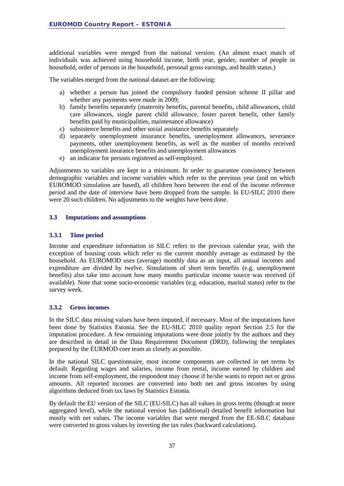additional variables were merged from the national version. (An almost exact match of individuals was achieved using household income, birth year, gender, number of people in household, order of persons in the household, personal gross earnings, and health status.)

The variables merged from the national dataset are the following:

- a) whether a person has joined the compulsory funded pension scheme II pillar and whether any payments were made in 2009;
- b) family benefits separately (maternity benefits, parental benefits, child allowances, child care allowances, single parent child allowance, foster parent benefit, other family benefits paid by municipalities, maintenance allowance)
- c) subsistence benefits and other social assistance benefits separately
- d) separately unemployment insurance benefits, unemployment allowances, severance payments, other unemployment benefits, as well as the number of months received unemployment insurance benefits and unemployment allowances
- e) an indicator for persons registered as self-employed.

Adjustments to variables are kept to a minimum. In order to guarantee consistency between demographic variables and income variables which refer to the previous year (and on which EUROMOD simulation are based), all children born between the end of the income reference period and the date of interview have been dropped from the sample. In EU-SILC 2010 there were 20 such children. No adjustments to the weights have been done.

#### <span id="page-36-0"></span>**3.3 Imputations and assumptions**

#### <span id="page-36-1"></span>**3.3.1 Time period**

Income and expenditure information in SILC refers to the previous calendar year, with the exception of housing costs which refer to the current monthly average as estimated by the household. As EUROMOD uses (average) monthly data as an input, all annual incomes and expenditure are divided by twelve. Simulations of short term benefits (e.g. unemployment benefits) also take into account how many months particular income source was received (if available). Note that some socio-economic variables (e.g. education, marital status) refer to the survey week.

#### <span id="page-36-2"></span>**3.3.2 Gross incomes**

In the SILC data missing values have been imputed, if necessary. Most of the imputations have been done by Statistics Estonia. See the EU-SILC 2010 quality report Section 2.5 for the imputation procedure. A few remaining imputations were done jointly by the authors and they are described in detail in the Data Requirement Document (DRD), following the templates prepared by the EURMOD core team as closely as possible.

In the national SILC questionnaire, most income components are collected in net terms by default. Regarding wages and salaries, income from rental, income earned by children and income from self-employment, the respondent may choose if he/she wants to report net or gross amounts. All reported incomes are converted into both net and gross incomes by using algorithms deduced from tax laws by Statistics Estonia.

By default the EU version of the SILC (EU-SILC) has all values in gross terms (though at more aggregated level), while the national version has (additional) detailed benefit information but mostly with net values. The income variables that were merged from the EE-SILC database were converted to gross values by inverting the tax rules (backward calculations).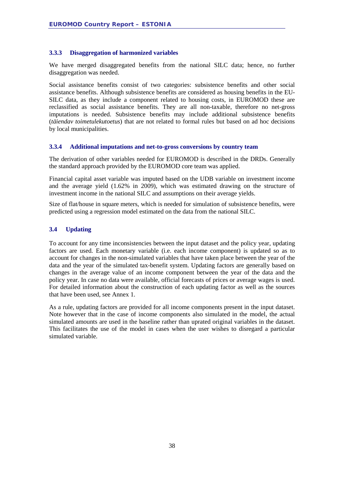#### <span id="page-37-0"></span>**3.3.3 Disaggregation of harmonized variables**

We have merged disaggregated benefits from the national SILC data; hence, no further disaggregation was needed.

Social assistance benefits consist of two categories: subsistence benefits and other social assistance benefits. Although subsistence benefits are considered as housing benefits in the EU-SILC data, as they include a component related to housing costs, in EUROMOD these are reclassified as social assistance benefits. They are all non-taxable, therefore no net-gross imputations is needed. Subsistence benefits may include additional subsistence benefits (*täiendav toimetulekutoetus*) that are not related to formal rules but based on ad hoc decisions by local municipalities.

#### <span id="page-37-1"></span>**3.3.4 Additional imputations and net-to-gross conversions by country team**

The derivation of other variables needed for EUROMOD is described in the DRDs. Generally the standard approach provided by the EUROMOD core team was applied.

Financial capital asset variable was imputed based on the UDB variable on investment income and the average yield (1.62% in 2009), which was estimated drawing on the structure of investment income in the national SILC and assumptions on their average yields.

Size of flat/house in square meters, which is needed for simulation of subsistence benefits, were predicted using a regression model estimated on the data from the national SILC.

#### <span id="page-37-2"></span>**3.4 Updating**

To account for any time inconsistencies between the input dataset and the policy year, updating factors are used. Each monetary variable (i.e. each income component) is updated so as to account for changes in the non-simulated variables that have taken place between the year of the data and the year of the simulated tax-benefit system. Updating factors are generally based on changes in the average value of an income component between the year of the data and the policy year. In case no data were available, official forecasts of prices or average wages is used. For detailed information about the construction of each updating factor as well as the sources that have been used, see Annex 1.

As a rule, updating factors are provided for all income components present in the input dataset. Note however that in the case of income components also simulated in the model, the actual simulated amounts are used in the baseline rather than uprated original variables in the dataset. This facilitates the use of the model in cases when the user wishes to disregard a particular simulated variable.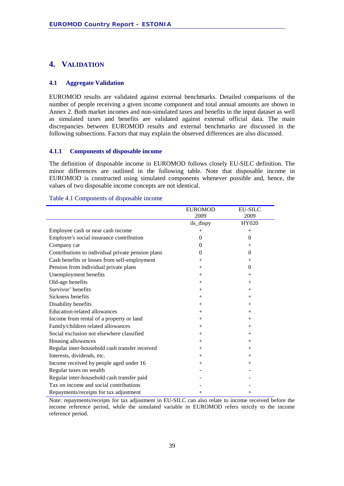#### <span id="page-38-0"></span>**4. VALIDATION**

#### <span id="page-38-1"></span>**4.1 Aggregate Validation**

EUROMOD results are validated against external benchmarks. Detailed comparisons of the number of people receiving a given income component and total annual amounts are shown in Annex 2. Both market incomes and non-simulated taxes and benefits in the input dataset as well as simulated taxes and benefits are validated against external official data. The main discrepancies between EUROMOD results and external benchmarks are discussed in the following subsections. Factors that may explain the observed differences are also discussed.

#### <span id="page-38-2"></span>**4.1.1 Components of disposable income**

The definition of disposable income in EUROMOD follows closely EU-SILC definition. The minor differences are outlined in the following table. Note that disposable income in EUROMOD is constructed using simulated components whenever possible and, hence, the values of two disposable income concepts are not identical.

#### Table 4.1 Components of disposable income

|                                                   | <b>EUROMOD</b> | <b>EU-SILC</b> |
|---------------------------------------------------|----------------|----------------|
|                                                   | 2009           | 2009           |
|                                                   | ils_dispy      | HY020          |
| Employee cash or near cash income                 | $^{+}$         | $^{+}$         |
| Employer's social insurance contribution          | $\mathbf{0}$   | $\theta$       |
| Company car                                       | $\Omega$       | $^{+}$         |
| Contributions to individual private pension plans | $\theta$       | $\theta$       |
| Cash benefits or losses from self-employment      | $+$            | $^{+}$         |
| Pension from individual private plans             | $+$            | $\theta$       |
| Unemployment benefits                             | $^{+}$         | $^{+}$         |
| Old-age benefits                                  | $+$            | $^{+}$         |
| Survivor' benefits                                | $+$            | $^{+}$         |
| Sickness benefits                                 | $+$            | $^{+}$         |
| Disability benefits                               | $^{+}$         | $+$            |
| <b>Education-related allowances</b>               | $+$            | $+$            |
| Income from rental of a property or land          | $+$            | $^{+}$         |
| Family/children related allowances                | $+$            | $+$            |
| Social exclusion not elsewhere classified         | $+$            | $^{+}$         |
| Housing allowances                                | $+$            | $^{+}$         |
| Regular inter-household cash transfer received    | $+$            | $^{+}$         |
| Interests, dividends, etc.                        | $+$            | $^{+}$         |
| Income received by people aged under 16           | $+$            | $^{+}$         |
| Regular taxes on wealth                           |                |                |
| Regular inter-household cash transfer paid        |                |                |
| Tax on income and social contributions            |                |                |
| Repayments/receipts for tax adjustment            | $^{+}$         | $^{+}$         |

Note: repayments/receipts for tax adjustment in EU-SILC can also relate to income received before the income reference period, while the simulated variable in EUROMOD refers strictly to the income reference period.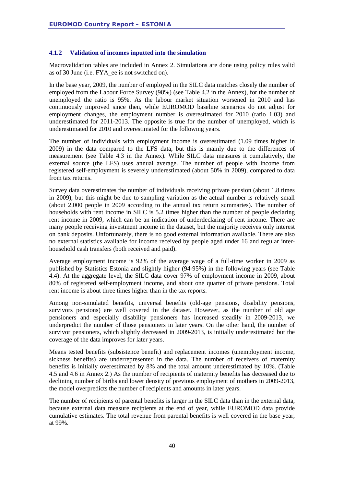#### <span id="page-39-0"></span>**4.1.2 Validation of incomes inputted into the simulation**

Macrovalidation tables are included in Annex 2. Simulations are done using policy rules valid as of 30 June (i.e. FYA\_ee is not switched on).

In the base year, 2009, the number of employed in the SILC data matches closely the number of employed from the Labour Force Survey (98%) (see Table 4.2 in the Annex), for the number of unemployed the ratio is 95%. As the labour market situation worsened in 2010 and has continuously improved since then, while EUROMOD baseline scenarios do not adjust for employment changes, the employment number is overestimated for 2010 (ratio 1.03) and underestimated for 2011-2013. The opposite is true for the number of unemployed, which is underestimated for 2010 and overestimated for the following years.

The number of individuals with employment income is overestimated (1.09 times higher in 2009) in the data compared to the LFS data, but this is mainly due to the differences of measurement (see Table 4.3 in the Annex). While SILC data measures it cumulatively, the external source (the LFS) uses annual average. The number of people with income from registered self-employment is severely underestimated (about 50% in 2009), compared to data from tax returns.

Survey data overestimates the number of individuals receiving private pension (about 1.8 times in 2009), but this might be due to sampling variation as the actual number is relatively small (about 2,000 people in 2009 according to the annual tax return summaries). The number of households with rent income in SILC is 5.2 times higher than the number of people declaring rent income in 2009, which can be an indication of underdeclaring of rent income. There are many people receiving investment income in the dataset, but the majority receives only interest on bank deposits. Unfortunately, there is no good external information available. There are also no external statistics available for income received by people aged under 16 and regular interhousehold cash transfers (both received and paid).

Average employment income is 92% of the average wage of a full-time worker in 2009 as published by Statistics Estonia and slightly higher (94-95%) in the following years (see Table 4.4). At the aggregate level, the SILC data cover 97% of employment income in 2009, about 80% of registered self-employment income, and about one quarter of private pensions. Total rent income is about three times higher than in the tax reports.

Among non-simulated benefits, universal benefits (old-age pensions, disability pensions, survivors pensions) are well covered in the dataset. However, as the number of old age pensioners and especially disability pensioners has increased steadily in 2009-2013, we underpredict the number of those pensioners in later years. On the other hand, the number of survivor pensioners, which slightly decreased in 2009-2013, is initially underestimated but the coverage of the data improves for later years.

Means tested benefits (subsistence benefit) and replacement incomes (unemployment income, sickness benefits) are underrepresented in the data. The number of receivers of maternity benefits is initially overestimated by 8% and the total amount underestimated by 10%. (Table 4.5 and 4.6 in Annex 2.) As the number of recipients of maternity benefits has decreased due to declining number of births and lower density of previous employment of mothers in 2009-2013, the model overpredicts the number of recipients and amounts in later years.

The number of recipients of parental benefits is larger in the SILC data than in the external data, because external data measure recipients at the end of year, while EUROMOD data provide cumulative estimates. The total revenue from parental benefits is well covered in the base year, at 99%.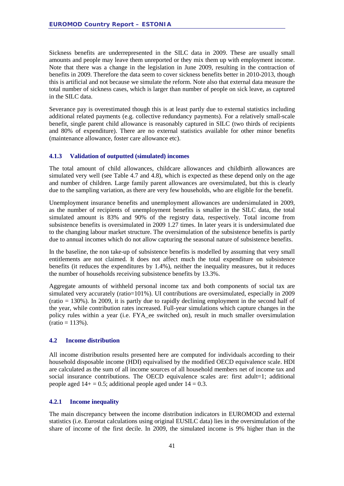Sickness benefits are underrepresented in the SILC data in 2009. These are usually small amounts and people may leave them unreported or they mix them up with employment income. Note that there was a change in the legislation in June 2009, resulting in the contraction of benefits in 2009. Therefore the data seem to cover sickness benefits better in 2010-2013, though this is artificial and not because we simulate the reform. Note also that external data measure the total number of sickness cases, which is larger than number of people on sick leave, as captured in the SILC data.

Severance pay is overestimated though this is at least partly due to external statistics including additional related payments (e.g. collective redundancy payments). For a relatively small-scale benefit, single parent child allowance is reasonably captured in SILC (two thirds of recipients and 80% of expenditure). There are no external statistics available for other minor benefits (maintenance allowance, foster care allowance etc).

#### <span id="page-40-0"></span>**4.1.3 Validation of outputted (simulated) incomes**

The total amount of child allowances, childcare allowances and childbirth allowances are simulated very well (see Table 4.7 and 4.8), which is expected as these depend only on the age and number of children. Large family parent allowances are oversimulated, but this is clearly due to the sampling variation, as there are very few households, who are eligible for the benefit.

Unemployment insurance benefits and unemployment allowances are undersimulated in 2009, as the number of recipients of unemployment benefits is smaller in the SILC data, the total simulated amount is 83% and 90% of the registry data, respectively. Total income from subsistence benefits is oversimulated in 2009 1.27 times. In later years it is undersimulated due to the changing labour market structure. The oversimulation of the subsistence benefits is partly due to annual incomes which do not allow capturing the seasonal nature of subsistence benefits.

In the baseline, the non take-up of subsistence benefits is modelled by assuming that very small entitlements are not claimed. It does not affect much the total expenditure on subsistence benefits (it reduces the expenditures by 1.4%), neither the inequality measures, but it reduces the number of households receiving subsistence benefits by 13.3%.

Aggregate amounts of withheld personal income tax and both components of social tax are simulated very accurately (ratio=101%). UI contributions are oversimulated, especially in 2009 (ratio = 130%). In 2009, it is partly due to rapidly declining employment in the second half of the year, while contribution rates increased. Full-year simulations which capture changes in the policy rules within a year (i.e. FYA\_ee switched on), result in much smaller oversimulation  $(ratio = 113\%).$ 

#### <span id="page-40-1"></span>**4.2 Income distribution**

All income distribution results presented here are computed for individuals according to their household disposable income (HDI) equivalised by the modified OECD equivalence scale. HDI are calculated as the sum of all income sources of all household members net of income tax and social insurance contributions. The OECD equivalence scales are: first adult=1; additional people aged  $14+ = 0.5$ ; additional people aged under  $14 = 0.3$ .

#### <span id="page-40-2"></span>**4.2.1 Income inequality**

The main discrepancy between the income distribution indicators in EUROMOD and external statistics (i.e. Eurostat calculations using original EUSILC data) lies in the oversimulation of the share of income of the first decile. In 2009, the simulated income is 9% higher than in the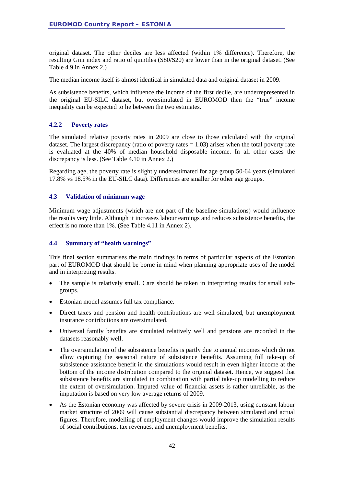original dataset. The other deciles are less affected (within 1% difference). Therefore, the resulting Gini index and ratio of quintiles (S80/S20) are lower than in the original dataset. (See Table 4.9 in Annex 2.)

The median income itself is almost identical in simulated data and original dataset in 2009.

As subsistence benefits, which influence the income of the first decile, are underrepresented in the original EU-SILC dataset, but oversimulated in EUROMOD then the "true" income inequality can be expected to lie between the two estimates.

#### <span id="page-41-0"></span>**4.2.2 Poverty rates**

The simulated relative poverty rates in 2009 are close to those calculated with the original dataset. The largest discrepancy (ratio of poverty rates  $= 1.03$ ) arises when the total poverty rate is evaluated at the 40% of median household disposable income. In all other cases the discrepancy is less. (See Table 4.10 in Annex 2.)

Regarding age, the poverty rate is slightly underestimated for age group 50-64 years (simulated 17.8% vs 18.5% in the EU-SILC data). Differences are smaller for other age groups.

#### <span id="page-41-1"></span>**4.3 Validation of minimum wage**

Minimum wage adjustments (which are not part of the baseline simulations) would influence the results very little. Although it increases labour earnings and reduces subsistence benefits, the effect is no more than 1%. (See Table 4.11 in Annex 2).

#### <span id="page-41-2"></span>**4.4 Summary of "health warnings"**

This final section summarises the main findings in terms of particular aspects of the Estonian part of EUROMOD that should be borne in mind when planning appropriate uses of the model and in interpreting results.

- The sample is relatively small. Care should be taken in interpreting results for small subgroups.
- Estonian model assumes full tax compliance.
- Direct taxes and pension and health contributions are well simulated, but unemployment insurance contributions are oversimulated.
- Universal family benefits are simulated relatively well and pensions are recorded in the datasets reasonably well.
- The oversimulation of the subsistence benefits is partly due to annual incomes which do not allow capturing the seasonal nature of subsistence benefits. Assuming full take-up of subsistence assistance benefit in the simulations would result in even higher income at the bottom of the income distribution compared to the original dataset. Hence, we suggest that subsistence benefits are simulated in combination with partial take-up modelling to reduce the extent of oversimulation. Imputed value of financial assets is rather unreliable, as the imputation is based on very low average returns of 2009.
- As the Estonian economy was affected by severe crisis in 2009-2013, using constant labour market structure of 2009 will cause substantial discrepancy between simulated and actual figures. Therefore, modelling of employment changes would improve the simulation results of social contributions, tax revenues, and unemployment benefits.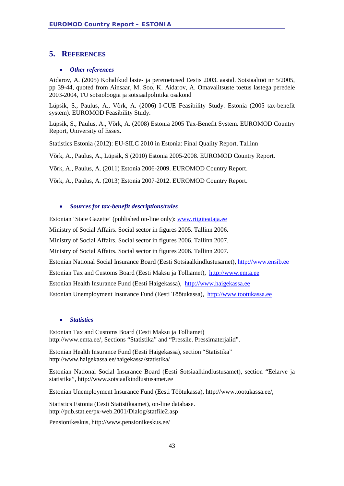#### <span id="page-42-0"></span>**5. REFERENCES**

#### • *Other references*

Aidarov, A. (2005) Kohalikud laste- ja peretoetused Eestis 2003. aastal. Sotsiaaltöö nr 5/2005, pp 39-44, quoted from Ainsaar, M. Soo, K. Aidarov, A. Omavalitsuste toetus lastega peredele 2003-2004, TÜ sotsioloogia ja sotsiaalpoliitika osakond

Lüpsik, S., Paulus, A., Võrk, A. (2006) I-CUE Feasibility Study. Estonia (2005 tax-benefit system). EUROMOD Feasibility Study.

Lüpsik, S., Paulus, A., Võrk, A. (2008) Estonia 2005 Tax-Benefit System. EUROMOD Country Report, University of Essex.

Statistics Estonia (2012): EU-SILC 2010 in Estonia: Final Quality Report. Tallinn

Võrk, A., Paulus, A., Lüpsik, S (2010) Estonia 2005-2008. EUROMOD Country Report.

Võrk, A., Paulus, A. (2011) Estonia 2006-2009. EUROMOD Country Report.

Võrk, A., Paulus, A. (2013) Estonia 2007-2012. EUROMOD Country Report.

#### • *Sources for tax-benefit descriptions/rules*

Estonian 'State Gazette' (published on-line only): www.riigiteataja.ee

Ministry of Social Affairs. Social sector in figures 2005. Tallinn 2006.

Ministry of Social Affairs. Social sector in figures 2006. Tallinn 2007.

Ministry of Social Affairs. Social sector in figures 2006. Tallinn 2007.

Estonian National Social Insurance Board (Eesti Sotsiaalkindlustusamet), [http://www.ensib.ee](http://www.ensib.ee/)

Estonian Tax and Customs Board (Eesti Maksu ja Tolliamet), [http://www.emta.ee](http://www.emta.ee/)

Estonian Health Insurance Fund (Eesti Haigekassa), [http://www.haigekassa.ee](http://www.haigekassa.ee/)

Estonian Unemployment Insurance Fund (Eesti Töötukassa), [http://www.tootukassa.ee](http://www.tootukassa.ee/)

#### • *Statistics*

Estonian Tax and Customs Board (Eesti Maksu ja Tolliamet) http://www.emta.ee/, Sections "Statistika" and "Pressile. Pressimaterjalid".

Estonian Health Insurance Fund (Eesti Haigekassa), section "Statistika" http://www.haigekassa.ee/haigekassa/statistika/

Estonian National Social Insurance Board (Eesti Sotsiaalkindlustusamet), section "Eelarve ja statistika", http://www.sotsiaalkindlustusamet.ee

Estonian Unemployment Insurance Fund (Eesti Töötukassa), http://www.tootukassa.ee/,

Statistics Estonia (Eesti Statistikaamet), on-line database. http://pub.stat.ee/px-web.2001/Dialog/statfile2.asp

Pensionikeskus, http://www.pensionikeskus.ee/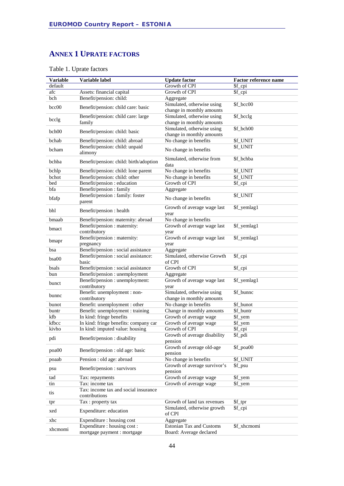### <span id="page-43-0"></span>**ANNEX 1 UPRATE FACTORS**

| <b>Variable</b> | Variable label                                                    | <b>Update factor</b>                               | <b>Factor reference name</b> |
|-----------------|-------------------------------------------------------------------|----------------------------------------------------|------------------------------|
| default         |                                                                   | Growth of CPI                                      | \$f_cpi                      |
| afc             | Assets: financial capital                                         | Growth of CPI                                      | \$f_cpi                      |
| bch             | Benefit/pension: child:                                           | Aggregate                                          |                              |
|                 |                                                                   | Simulated, otherwise using                         | \$f_bcc00                    |
| bcc00           | Benefit/pension: child care: basic                                | change in monthly amounts                          |                              |
|                 | Benefit/pension: child care: large                                | Simulated, otherwise using                         | \$f_bcclg                    |
| bcclg           | family                                                            | change in monthly amounts                          |                              |
|                 |                                                                   | Simulated, otherwise using                         | \$f_bch00                    |
| bch00           | Benefit/pension: child: basic                                     | change in monthly amounts                          |                              |
| bchab           | Benefit/pension: child: abroad                                    | No change in benefits                              | \$f_UNIT                     |
|                 | Benefit/pension: child: unpaid                                    |                                                    | \$f_UNIT                     |
| bcham           | alimony                                                           | No change in benefits                              |                              |
| bchba           | Benefit/pension: child: birth/adoption                            | Simulated, otherwise from                          | \$f_bchba                    |
|                 |                                                                   | data                                               |                              |
| bchlp           | Benefit/pension: child: lone parent                               | No change in benefits                              | \$f_UNIT                     |
| bchot           | Benefit/pension: child: other                                     | No change in benefits                              | \$f_UNIT                     |
| bed             | Benefit/pension : education                                       | Growth of CPI                                      | \$f_cpi                      |
| bfa             | Benefit/pension: family                                           | Aggregate                                          |                              |
| bfafp           | Benefit/pension : family: foster                                  | No change in benefits                              | \$f_UNIT                     |
|                 | parent                                                            |                                                    |                              |
| bhl             | Benefit/pension : health                                          | Growth of average wage last                        | \$f_yemlag1                  |
|                 |                                                                   | year                                               |                              |
| bmaab           | Benefit/pension: maternity: abroad                                | No change in benefits                              |                              |
| bmact           | Benefit/pension : maternity:                                      | Growth of average wage last                        | \$f_yemlag1                  |
|                 | contributory                                                      | year                                               |                              |
| bmapr           | Benefit/pension : maternity:                                      | Growth of average wage last                        | \$f_yemlag1                  |
|                 | pregnancy                                                         | year                                               |                              |
| bsa             | Benefit/pension : social assistance                               | Aggregate                                          |                              |
| $b$ sa $00$     | Benefit/pension : social assistance:                              | Simulated, otherwise Growth                        | \$f_cpi                      |
|                 | basic                                                             | of CPI                                             |                              |
| bsals           | Benefit/pension : social assistance                               | Growth of CPI                                      | \$f_cpi                      |
| bun             | Benefit/pension : unemployment                                    | Aggregate                                          |                              |
| bunct           | Benefit/pension : unemployment:                                   | Growth of average wage last                        | \$f_yemlag1                  |
|                 | contributory                                                      | year                                               |                              |
| bunnc           | Benefit: unemployment : non-                                      | Simulated, otherwise using                         | \$f_bunnc                    |
|                 | contributory                                                      | change in monthly amounts                          |                              |
| bunot           | Benefit: unemployment : other<br>Benefit: unemployment : training | No change in benefits<br>Change in monthly amounts | \$f_bunot<br>\$f_buntr       |
| buntr<br>kfb    | In kind: fringe benefits                                          | Growth of average wage                             |                              |
| kfbcc           | In kind: fringe benefits: company car                             | Growth of average wage                             | \$f_yem<br>\$f_yem           |
| kivho           | In kind: imputed value: housing                                   | Growth of CPI                                      | \$f_cpi                      |
|                 |                                                                   | Growth of average disability                       | \$f_pdi                      |
| pdi             | Benefit/pension : disability                                      | pension                                            |                              |
|                 |                                                                   | Growth of average old-age                          | \$f_poa00                    |
| poa00           | Benefit/pension : old age: basic                                  | pension                                            |                              |
| poaab           | Pension : old age: abroad                                         | No change in benefits                              | \$f_UNIT                     |
|                 |                                                                   | Growth of average survivor's                       | \$f_psu                      |
| psu             | Benefit/pension : survivors                                       | pension                                            |                              |
| tad             | Tax: repayments                                                   | Growth of average wage                             | \$f_yem                      |
| tin             | Tax: income tax                                                   | Growth of average wage                             | \$f_yem                      |
|                 | Tax: income tax and social insurance                              |                                                    |                              |
| tis             | contributions                                                     |                                                    |                              |
| tpr             | Tax: property tax                                                 | Growth of land tax revenues                        | \$f_tpr                      |
|                 |                                                                   | Simulated, otherwise growth                        | \$f_cpi                      |
| xed             | Expenditure: education                                            | of CPI                                             |                              |
| xhc             | Expenditure : housing cost                                        | Aggregate                                          |                              |
|                 | Expenditure : housing cost :                                      | <b>Estonian Tax and Customs</b>                    | \$f_xhcmomi                  |
| xhcmomi         | mortgage payment : mortgage                                       | Board: Average declared                            |                              |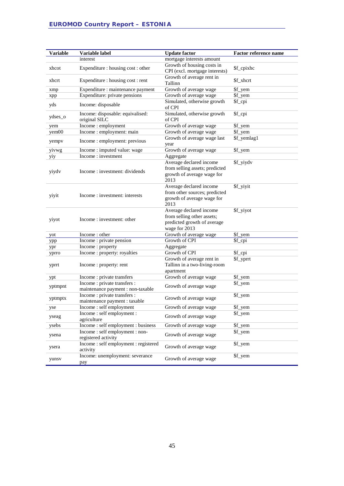| <b>Variable</b> | Variable label                                                    | <b>Update factor</b>                                                                                  | Factor reference name |
|-----------------|-------------------------------------------------------------------|-------------------------------------------------------------------------------------------------------|-----------------------|
|                 | interest                                                          | mortgage interests amount                                                                             |                       |
| xhcot           | Expenditure : housing cost : other                                | Growth of housing costs in<br>CPI (excl. mortgage interests)                                          | \$f_cpixhc            |
| xhcrt           | Expenditure : housing cost : rent                                 | Growth of average rent in<br>Tallinn                                                                  | \$f_xhcrt             |
| xmp             | Expenditure : maintenance payment                                 | Growth of average wage                                                                                | \$f_yem               |
| xpp             | Expenditure: private pensions                                     | Growth of average wage                                                                                | \$f_yem               |
| yds             | Income: disposable                                                | Simulated, otherwise growth<br>of CPI                                                                 | \$f_cpi               |
| ydses_o         | Income: disposable: equivalised:<br>original SILC                 | Simulated, otherwise growth<br>of CPI                                                                 | \$f_cpi               |
| yem             | Income: employment                                                | Growth of average wage                                                                                | \$f_yem               |
| yem00           | Income : employment: main                                         | Growth of average wage                                                                                | \$f_yem               |
| yempy           | Income : employment: previous                                     | Growth of average wage last<br>year                                                                   | \$f_yemlag1           |
| yivwg           | Income : imputed value: wage                                      | Growth of average wage                                                                                | \$f_yem               |
| yiy             | Income: investment                                                | Aggregate                                                                                             |                       |
| yiydv           | Income: investment: dividends                                     | Average declared income<br>from selling assets; predicted<br>growth of average wage for<br>2013       | \$f_yiydv             |
| yiyit           | Income: investment: interests                                     | Average declared income<br>from other sources; predicted<br>growth of average wage for<br>2013        | \$f_yiyit             |
| yiyot           | Income: investment: other                                         | Average declared income<br>from selling other assets;<br>predicted growth of average<br>wage for 2013 | \$f_yiyot             |
| yot             | Income: other                                                     | Growth of average wage                                                                                | \$f_yem               |
| ypp             | Income : private pension                                          | Growth of CPI                                                                                         | \$f_cpi               |
| ypr             | Income: property                                                  | Aggregate                                                                                             |                       |
| yprro           | Income : property: royalties                                      | Growth of CPI                                                                                         | \$f_cpi               |
| yprrt           | Income: property: rent                                            | Growth of average rent in<br>Tallinn in a two-living-room<br>apartment                                | \$f_yprrt             |
| ypt             | Income: private transfers                                         | Growth of average wage                                                                                | \$f_yem               |
| yptmpnt         | Income : private transfers :<br>maintenance payment : non-taxable | Growth of average wage                                                                                | \$f_yem               |
| yptmptx         | Income : private transfers :<br>maintenance payment : taxable     | Growth of average wage                                                                                | \$f_yem               |
| yse             | Income: self employment                                           | Growth of average wage                                                                                | \$f_yem               |
| yseag           | Income : self employment :<br>agriculture                         | Growth of average wage                                                                                | \$f_yem               |
| ysebs           | Income: self employment: business                                 | Growth of average wage                                                                                | \$f_yem               |
| ysena           | Income: self employment: non-<br>registered activity              | Growth of average wage                                                                                | \$f_yem               |
| ysera           | Income: self employment: registered<br>activity                   | Growth of average wage                                                                                | \$f_yem               |
| yunsv           | Income: unemployment: severance<br>pay                            | Growth of average wage                                                                                | \$f_yem               |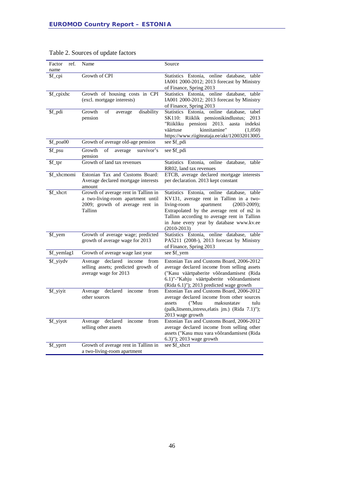| Factor<br>ref.<br>name | Name                                                                                                                    | Source                                                                                                                                                                                                                                                                                         |
|------------------------|-------------------------------------------------------------------------------------------------------------------------|------------------------------------------------------------------------------------------------------------------------------------------------------------------------------------------------------------------------------------------------------------------------------------------------|
| \$f_cpi                | Growth of CPI                                                                                                           | Statistics Estonia, online database,<br>table<br>IA001 2000-2012; 2013 forecast by Ministry<br>of Finance, Spring 2013                                                                                                                                                                         |
| \$f_cpixhc             | Growth of housing costs in CPI<br>(excl. mortgage interests)                                                            | Statistics Estonia, online database,<br>table<br>IA001 2000-2012; 2013 forecast by Ministry<br>of Finance, Spring 2013                                                                                                                                                                         |
| \$f_pdi                | Growth<br>of<br>disability<br>average<br>pension                                                                        | Statistics Estonia, online database,<br>tabel<br>SK110: Riiklik pensionikindlustus;<br>2013<br>"Riikliku<br>pensioni<br>aasta indeksi<br>2013.<br>kinnitamine"<br>väärtuse<br>(1,050)<br>https://www.riigiteataja.ee/akt/120032013005                                                          |
| \$f_poa00              | Growth of average old-age pension                                                                                       | see \$f_pdi                                                                                                                                                                                                                                                                                    |
| \$f_psu                | average<br>survivor's<br>Growth<br>of<br>pension                                                                        | see \$f_pdi                                                                                                                                                                                                                                                                                    |
| \$f_tpr                | Growth of land tax revenues                                                                                             | Statistics Estonia, online database,<br>table<br>RR02, land tax revenues                                                                                                                                                                                                                       |
| \$f_xhcmomi            | Estonian Tax and Customs Board:<br>Average declared mortgage interests<br>amount                                        | ETCB, average declared mortgage interests<br>per declaration. 2013 kept constant                                                                                                                                                                                                               |
| \$f xhcrt              | Growth of average rent in Tallinn in<br>a two-living-room apartment until<br>2009; growth of average rent in<br>Tallinn | Statistics Estonia, online database, table<br>KV131, average rent in Tallinn in a two-<br>living-room<br>apartment<br>$(2003-2009);$<br>Extrapolated by the average rent of m2 in<br>Tallinn according to average rent in Tallinn<br>in June every year by database www.kv.ee<br>$(2010-2013)$ |
| \$f_yem                | Growth of average wage; predicted<br>growth of average wage for 2013                                                    | Statistics Estonia, online database, table<br>PA5211 (2008-), 2013 forecast by Ministry<br>of Finance, Spring 2013                                                                                                                                                                             |
| \$f_yemlag1            | Growth of average wage last year                                                                                        | see \$f_yem                                                                                                                                                                                                                                                                                    |
| \$f_yiydv              | Average declared income from<br>selling assets; predicted growth of<br>average wage for 2013                            | Estonian Tax and Customs Board, 2006-2012<br>average declared income from selling assets<br>("Kasu väärtpaberite võõrandamisest (Rida<br>6.1)"-"Kahju väärtpaberite võõrandamisest<br>(Rida 6.1)"); 2013 predicted wage growth                                                                 |
| \$f_yiyit              | declared<br>Average<br>income<br>from<br>other sources                                                                  | Estonian Tax and Customs Board, 2006-2012<br>average declared income from other sources<br>assets<br>("Muu<br>maksustatav<br>tulu<br>(palk, litsents, intress, elatis jm.) (Rida 7.1)");<br>2013 wage growth                                                                                   |
| \$f_yiyot              | declared<br>income<br>from<br>Average<br>selling other assets                                                           | Estonian Tax and Customs Board, 2006-2012<br>average declared income from selling other<br>assets ("Kasu muu vara võõrandamisest (Rida<br>6.3)"); 2013 wage growth                                                                                                                             |
| \$f_yprrt              | Growth of average rent in Tallinn in<br>a two-living-room apartment                                                     | see \$f_xhcrt                                                                                                                                                                                                                                                                                  |

#### Table 2. Sources of update factors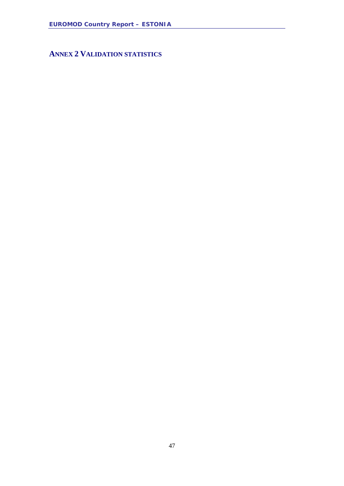<span id="page-46-0"></span>**ANNEX 2 VALIDATION STATISTICS**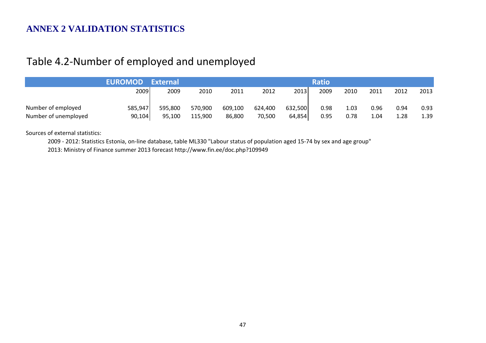### **ANNEX 2 VALIDATION STATISTICS**

## Table 4.2-Number of employed and unemployed

|                      | EUROMOD External |         |         |         |         |         | <b>Ratio</b> |      |      |      |      |
|----------------------|------------------|---------|---------|---------|---------|---------|--------------|------|------|------|------|
|                      | 2009             | 2009    | 2010    | 2011    | 2012    | 2013    | 2009         | 2010 | 2011 | 2012 | 2013 |
| Number of employed   | 585,947          | 595,800 | 570,900 | 609,100 | 624,400 | 632,500 | 0.98         | 1.03 | 0.96 | 0.94 | 0.93 |
| Number of unemployed | 90,104           | 95,100  | 115,900 | 86,800  | 70,500  | 64,854  | 0.95         | 0.78 | 1.04 | 1.28 | 1.39 |

Sources of external statistics:

2009 - 2012: Statistics Estonia, on-line database, table ML330 "Labour status of population aged 15-74 by sex and age group"

2013: Ministry of Finance summer 2013 forecast http://www.fin.ee/doc.php?109949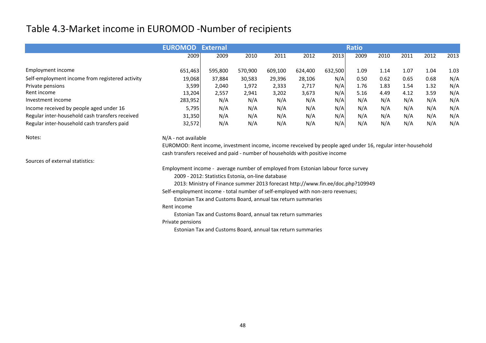### Table 4.3-Market income in EUROMOD -Number of recipients

|                                                 | <b>EUROMOD</b> | <b>External</b> |         |         |         |         | <b>Ratio</b> |      |      |      |      |
|-------------------------------------------------|----------------|-----------------|---------|---------|---------|---------|--------------|------|------|------|------|
|                                                 | 2009           | 2009            | 2010    | 2011    | 2012    | 2013    | 2009         | 2010 | 2011 | 2012 | 2013 |
| Employment income                               | 651,463        | 595,800         | 570,900 | 609,100 | 624,400 | 632,500 | 1.09         | 1.14 | 1.07 | 1.04 | 1.03 |
| Self-employment income from registered activity | 19,068         | 37,884          | 30,583  | 29,396  | 28,106  | N/A     | 0.50         | 0.62 | 0.65 | 0.68 | N/A  |
| Private pensions                                | 3,599          | 2,040           | 1,972   | 2,333   | 2,717   | N/A     | 1.76         | 1.83 | 1.54 | 1.32 | N/A  |
| Rent income                                     | 13,204         | 2,557           | 2,941   | 3,202   | 3,673   | N/A     | 5.16         | 4.49 | 4.12 | 3.59 | N/A  |
| Investment income                               | 283,952        | N/A             | N/A     | N/A     | N/A     | N/A     | N/A          | N/A  | N/A  | N/A  | N/A  |
| Income received by people aged under 16         | 5,795          | N/A             | N/A     | N/A     | N/A     | N/A     | N/A          | N/A  | N/A  | N/A  | N/A  |
| Regular inter-household cash transfers received | 31,350         | N/A             | N/A     | N/A     | N/A     | N/A     | N/A          | N/A  | N/A  | N/A  | N/A  |
| Regular inter-household cash transfers paid     | 32,572         | N/A             | N/A     | N/A     | N/A     | N/A     | N/A          | N/A  | N/A  | N/A  | N/A  |

N/A - not available

 EUROMOD: Rent income, investment income, income revceived by people aged under 16, regular inter-householdcash transfers received and paid - number of households with positive income

Sources of external statistics:

Notes:

Employment income - average number of employed from Estonian labour force survey

2009 - 2012: Statistics Estonia, on-line database

2013: Ministry of Finance summer 2013 forecast http://www.fin.ee/doc.php?109949

Self-employment income - total number of self-employed with non-zero revenues;

Estonian Tax and Customs Board, annual tax return summaries

#### Rent income

Estonian Tax and Customs Board, annual tax return summaries

#### Private pensions

Estonian Tax and Customs Board, annual tax return summaries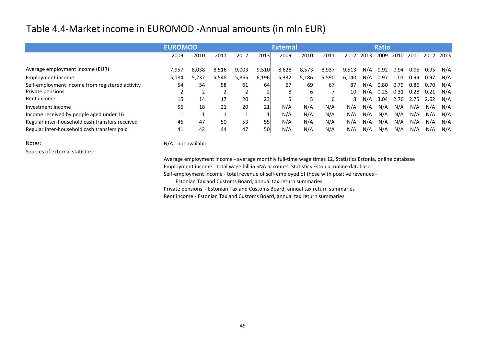### Table 4.4-Market income in EUROMOD -Annual amounts (in mln EUR)

|                                                 | <b>EUROMOD</b> |       |       |       |       | <b>External</b> |       |       |       |      | <b>Ratio</b> |      |      |      |      |
|-------------------------------------------------|----------------|-------|-------|-------|-------|-----------------|-------|-------|-------|------|--------------|------|------|------|------|
|                                                 | 2009           | 2010  | 2011  | 2012  | 2013  | 2009            | 2010  | 2011  | 2012  | 2013 | 2009         | 2010 | 2011 | 2012 | 2013 |
| Average employment income (EUR)                 | 7,957          | 8,038 | 8,516 | 9,003 | 9,510 | 8,628           | 8,573 | 8,937 | 9,513 | N/A  | 0.92         | 0.94 | 0.95 | 0.95 | N/A  |
| Employment income                               | 5,184          | 5,237 | 5,548 | 5,865 | 6,196 | 5,332           | 5,186 | 5,590 | 6,040 | N/A  | 0.97         | 1.01 | 0.99 | 0.97 | N/A  |
| Self-employment income from registered activity | 54             | 54    | 58    | 61    | 64    | 67              | 69    | 67    | 87    | N/Al | 0.80         | 0.79 | 0.86 | 0.70 | N/A  |
| Private pensions                                |                |       |       |       |       | 8               | 6     |       | 10    | N/A  | 0.25         | 0.31 | 0.28 | 0.21 | N/A  |
| Rent income                                     | 15             | 14    | 17    | 20    | 23    |                 |       | 6     | 8     | N/A  | 3.04         | 2.76 | 2.75 | 2.62 | N/A  |
| Investment income                               | 56             | 18    | 21    | 20    | 21    | N/A             | N/A   | N/A   | N/A   | N/A  | N/A          | N/A  | N/A  | N/A  | N/A  |
| Income received by people aged under 16         |                |       |       |       |       | N/A             | N/A   | N/A   | N/A   | N/A  | N/A          | N/A  | N/A  | N/A  | N/A  |
| Regular inter-household cash transfers received | 46             | 47    | 50    | 53    | 55    | N/A             | N/A   | N/A   | N/A   | N/A  | N/A          | N/A  | N/A  | N/A  | N/A  |
| Regular inter-household cash transfers paid     | 41             | 42    | 44    | 47    | 50    | N/A             | N/A   | N/A   | N/A   | N/A  | N/A          | N/A  | N/A  | N/A  | N/A  |

Notes:

Sources of external statistics:

N/A - not available

Average employment income - average monthly full-time wage times 12, Statistics Estonia, online databaseEmployment income - total wage bill in SNA accounts, Statistics Estonia, online databaseSelf-employment income - total revenue of self-employed of those with positive revenues -

Estonian Tax and Customs Board, annual tax return summaries

 Private pensions - Estonian Tax and Customs Board, annual tax return summariesRent income - Estonian Tax and Customs Board, annual tax return summaries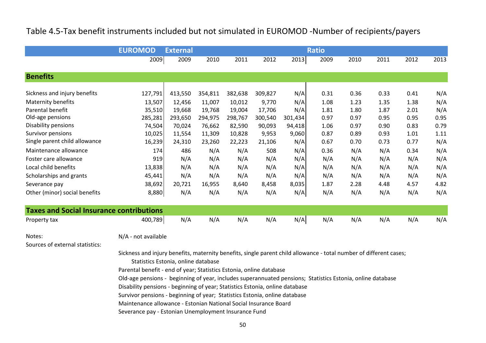### Table 4.5-Tax benefit instruments included but not simulated in EUROMOD -Number of recipients/payers

|                                          | <b>EUROMOD</b> | <b>External</b> |         |         |         |         | <b>Ratio</b> |      |      |      |      |
|------------------------------------------|----------------|-----------------|---------|---------|---------|---------|--------------|------|------|------|------|
|                                          | 2009           | 2009            | 2010    | 2011    | 2012    | 2013    | 2009         | 2010 | 2011 | 2012 | 2013 |
|                                          |                |                 |         |         |         |         |              |      |      |      |      |
| <b>Benefits</b>                          |                |                 |         |         |         |         |              |      |      |      |      |
|                                          |                |                 |         |         |         |         |              |      |      |      |      |
| Sickness and injury benefits             | 127,791        | 413,550         | 354,811 | 382,638 | 309,827 | N/A     | 0.31         | 0.36 | 0.33 | 0.41 | N/A  |
| Maternity benefits                       | 13,507         | 12,456          | 11,007  | 10,012  | 9,770   | N/A     | 1.08         | 1.23 | 1.35 | 1.38 | N/A  |
| Parental benefit                         | 35,510         | 19,668          | 19,768  | 19,004  | 17,706  | N/A     | 1.81         | 1.80 | 1.87 | 2.01 | N/A  |
| Old-age pensions                         | 285,281        | 293,650         | 294,975 | 298,767 | 300,540 | 301,434 | 0.97         | 0.97 | 0.95 | 0.95 | 0.95 |
| Disability pensions                      | 74,504         | 70,024          | 76,662  | 82,590  | 90,093  | 94,418  | 1.06         | 0.97 | 0.90 | 0.83 | 0.79 |
| Survivor pensions                        | 10,025         | 11,554          | 11,309  | 10,828  | 9,953   | 9,060   | 0.87         | 0.89 | 0.93 | 1.01 | 1.11 |
| Single parent child allowance            | 16,239         | 24,310          | 23,260  | 22,223  | 21,106  | N/A     | 0.67         | 0.70 | 0.73 | 0.77 | N/A  |
| Maintenance allowance                    | 174            | 486             | N/A     | N/A     | 508     | N/A     | 0.36         | N/A  | N/A  | 0.34 | N/A  |
| Foster care allowance                    | 919            | N/A             | N/A     | N/A     | N/A     | N/A     | N/A          | N/A  | N/A  | N/A  | N/A  |
| Local child benefits                     | 13,838         | N/A             | N/A     | N/A     | N/A     | N/A     | N/A          | N/A  | N/A  | N/A  | N/A  |
| Scholarships and grants                  | 45,441         | N/A             | N/A     | N/A     | N/A     | N/A     | N/A          | N/A  | N/A  | N/A  | N/A  |
| Severance pay                            | 38,692         | 20,721          | 16,955  | 8,640   | 8,458   | 8,035   | 1.87         | 2.28 | 4.48 | 4.57 | 4.82 |
| Other (minor) social benefits            | 8,880          | N/A             | N/A     | N/A     | N/A     | N/A     | N/A          | N/A  | N/A  | N/A  | N/A  |
| Tayes and Social Insurance contributions |                |                 |         |         |         |         |              |      |      |      |      |

| <b>Taxes and Social Insurance contributions</b> |         |     |     |     |     |     |     |     |     |     |     |
|-------------------------------------------------|---------|-----|-----|-----|-----|-----|-----|-----|-----|-----|-----|
| Property tax                                    | 400,789 | N/A | N/A | N/A | N/A | N/A | N/A | N/A | N/A | N/A | N/A |

Notes:

N/A - not available

Sources of external statistics:

Sickness and injury benefits, maternity benefits, single parent child allowance - total number of different cases;Statistics Estonia, online database

Parental benefit - end of year; Statistics Estonia, online database

Old-age pensions - beginning of year, includes superannuated pensions; Statistics Estonia, online database

Disability pensions - beginning of year; Statistics Estonia, online database

Survivor pensions - beginning of year; Statistics Estonia, online database

Maintenance allowance - Estonian National Social Insurance Board

Severance pay - Estonian Unemployment Insurance Fund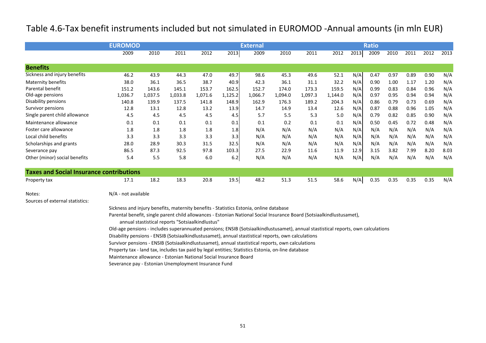### Table 4.6-Tax benefit instruments included but not simulated in EUROMOD -Annual amounts (in mln EUR)

|                                                 | <b>EUROMOD</b>                                                                                                                    |         |                                                  |         |         | <b>External</b> |         |         |         |      | <b>Ratio</b> |      |      |      |      |
|-------------------------------------------------|-----------------------------------------------------------------------------------------------------------------------------------|---------|--------------------------------------------------|---------|---------|-----------------|---------|---------|---------|------|--------------|------|------|------|------|
|                                                 | 2009                                                                                                                              | 2010    | 2011                                             | 2012    | 2013    | 2009            | 2010    | 2011    | 2012    | 2013 | 2009         | 2010 | 2011 | 2012 | 2013 |
| <b>Benefits</b>                                 |                                                                                                                                   |         |                                                  |         |         |                 |         |         |         |      |              |      |      |      |      |
| Sickness and injury benefits                    | 46.2                                                                                                                              | 43.9    | 44.3                                             | 47.0    | 49.7    | 98.6            | 45.3    | 49.6    | 52.1    | N/A  | 0.47         | 0.97 | 0.89 | 0.90 | N/A  |
| Maternity benefits                              | 38.0                                                                                                                              | 36.1    | 36.5                                             | 38.7    | 40.9    | 42.3            | 36.1    | 31.1    | 32.2    | N/A  | 0.90         | 1.00 | 1.17 | 1.20 | N/A  |
| Parental benefit                                | 151.2                                                                                                                             | 143.6   | 145.1                                            | 153.7   | 162.5   | 152.7           | 174.0   | 173.3   | 159.5   | N/A  | 0.99         | 0.83 | 0.84 | 0.96 | N/A  |
| Old-age pensions                                | 1,036.7                                                                                                                           | 1,037.5 | 1,033.8                                          | 1,071.6 | 1,125.2 | 1,066.7         | 1,094.0 | 1,097.3 | 1,144.0 | N/A  | 0.97         | 0.95 | 0.94 | 0.94 | N/A  |
| Disability pensions                             | 140.8                                                                                                                             | 139.9   | 137.5                                            | 141.8   | 148.9   | 162.9           | 176.3   | 189.2   | 204.3   | N/A  | 0.86         | 0.79 | 0.73 | 0.69 | N/A  |
| Survivor pensions                               | 12.8                                                                                                                              | 13.1    | 12.8                                             | 13.2    | 13.9    | 14.7            | 14.9    | 13.4    | 12.6    | N/A  | 0.87         | 0.88 | 0.96 | 1.05 | N/A  |
| Single parent child allowance                   | 4.5                                                                                                                               | 4.5     | 4.5                                              | 4.5     | 4.5     | 5.7             | 5.5     | 5.3     | 5.0     | N/A  | 0.79         | 0.82 | 0.85 | 0.90 | N/A  |
| Maintenance allowance                           | 0.1                                                                                                                               | 0.1     | 0.1                                              | 0.1     | 0.1     | 0.1             | 0.2     | 0.1     | 0.1     | N/A  | 0.50         | 0.45 | 0.72 | 0.48 | N/A  |
| Foster care allowance                           | 1.8                                                                                                                               | 1.8     | 1.8                                              | 1.8     | 1.8     | N/A             | N/A     | N/A     | N/A     | N/A  | N/A          | N/A  | N/A  | N/A  | N/A  |
| Local child benefits                            | 3.3                                                                                                                               | 3.3     | 3.3                                              | 3.3     | 3.3     | N/A             | N/A     | N/A     | N/A     | N/A  | N/A          | N/A  | N/A  | N/A  | N/A  |
| Scholarships and grants                         | 28.0                                                                                                                              | 28.9    | 30.3                                             | 31.5    | 32.5    | N/A             | N/A     | N/A     | N/A     | N/A  | N/A          | N/A  | N/A  | N/A  | N/A  |
| Severance pay                                   | 86.5                                                                                                                              | 87.3    | 92.5                                             | 97.8    | 103.3   | 27.5            | 22.9    | 11.6    | 11.9    | 12.9 | 3.15         | 3.82 | 7.99 | 8.20 | 8.03 |
| Other (minor) social benefits                   | 5.4                                                                                                                               | 5.5     | 5.8                                              | 6.0     | $6.2\,$ | N/A             | N/A     | N/A     | N/A     | N/A  | N/A          | N/A  | N/A  | N/A  | N/A  |
| <b>Taxes and Social Insurance contributions</b> |                                                                                                                                   |         |                                                  |         |         |                 |         |         |         |      |              |      |      |      |      |
| Property tax                                    | 17.1                                                                                                                              | 18.2    | 18.3                                             | 20.8    | 19.5    | 48.2            | 51.3    | 51.5    | 58.6    | N/A  | 0.35         | 0.35 | 0.35 | 0.35 | N/A  |
| Notes:                                          | N/A - not available                                                                                                               |         |                                                  |         |         |                 |         |         |         |      |              |      |      |      |      |
| Sources of external statistics:                 |                                                                                                                                   |         |                                                  |         |         |                 |         |         |         |      |              |      |      |      |      |
|                                                 | Sickness and injury benefits, maternity benefits - Statistics Estonia, online database                                            |         |                                                  |         |         |                 |         |         |         |      |              |      |      |      |      |
|                                                 | Parental benefit, single parent child allowances - Estonian National Social Insurance Board (Sotsiaalkindlustusamet),             |         | annual stastistical reports "Sotsiaalkindlustus" |         |         |                 |         |         |         |      |              |      |      |      |      |
|                                                 | Old-age pensions - includes superannuated pensions; ENSIB (Sotsiaalkindlustusamet), annual stastistical reports, own calculations |         |                                                  |         |         |                 |         |         |         |      |              |      |      |      |      |
|                                                 | Disability pensions - ENSIB (Sotsiaalkindlustusamet), annual stastistical reports, own calculations                               |         |                                                  |         |         |                 |         |         |         |      |              |      |      |      |      |
|                                                 |                                                                                                                                   |         |                                                  |         |         |                 |         |         |         |      |              |      |      |      |      |
|                                                 | Survivor pensions - ENSIB (Sotsiaalkindlustusamet), annual stastistical reports, own calculations                                 |         |                                                  |         |         |                 |         |         |         |      |              |      |      |      |      |
|                                                 | Property tax - land tax, includes tax paid by legal entities; Statistics Estonia, on-line database                                |         |                                                  |         |         |                 |         |         |         |      |              |      |      |      |      |
|                                                 | Maintenance allowance - Estonian National Social Insurance Board                                                                  |         |                                                  |         |         |                 |         |         |         |      |              |      |      |      |      |

Severance pay - Estonian Unemployment Insurance Fund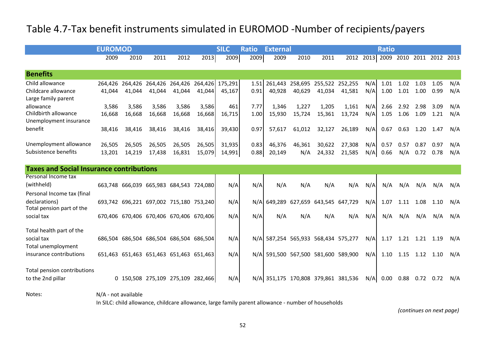# Table 4.7-Tax benefit instruments simulated in EUROMOD -Number of recipients/payers

|                                                  | <b>EUROMOD</b> |                                                 |        |        |        | <b>SILC</b> | <b>Ratio</b> | <b>External</b>                     |        |                                 |        |      | <b>Ratio</b> |                        |      |                          |     |
|--------------------------------------------------|----------------|-------------------------------------------------|--------|--------|--------|-------------|--------------|-------------------------------------|--------|---------------------------------|--------|------|--------------|------------------------|------|--------------------------|-----|
|                                                  | 2009           | 2010                                            | 2011   | 2012   | 2013   | 2009        | 2009         | 2009                                | 2010   | 2011                            | 2012   | 2013 |              |                        |      | 2009 2010 2011 2012 2013 |     |
| <b>Benefits</b>                                  |                |                                                 |        |        |        |             |              |                                     |        |                                 |        |      |              |                        |      |                          |     |
| Child allowance                                  |                | 264,426 264,426 264,426 264,426 264,426 175,291 |        |        |        |             | 1.51         |                                     |        | 261,443 258,695 255,522 252,255 |        | N/A  | 1.01         | 1.02                   | 1.03 | 1.05                     | N/A |
| Childcare allowance<br>Large family parent       | 41,044         | 41,044                                          | 41.044 | 41.044 | 41,044 | 45,167      | 0.91         | 40,928                              | 40,629 | 41,034                          | 41,581 | N/A  | 1.00         | 1.01                   | 1.00 | 0.99                     | N/A |
| allowance                                        | 3,586          | 3,586                                           | 3,586  | 3,586  | 3,586  | 461         | 7.77         | 1.346                               | 1,227  | 1,205                           | 1,161  | N/A  | 2.66         | 2.92                   | 2.98 | 3.09                     | N/A |
| Childbirth allowance<br>Unemployment insurance   | 16,668         | 16,668                                          | 16,668 | 16,668 | 16,668 | 16,715      | 1.00         | 15,930                              | 15,724 | 15,361                          | 13,724 | N/A  | 1.05         | 1.06                   | 1.09 | 1.21                     | N/A |
| benefit                                          | 38,416         | 38.416                                          | 38,416 | 38,416 | 38,416 | 39,430      | 0.97         | 57.617                              | 61,012 | 32,127                          | 26,189 | N/A  | 0.67         | 0.63                   |      | 1.20 1.47                | N/A |
| Unemployment allowance                           | 26,505         | 26,505                                          | 26,505 | 26,505 | 26,505 | 31,935      | 0.83         | 46,376                              | 46.361 | 30,622                          | 27,308 | N/A  | 0.57         | 0.57                   | 0.87 | 0.97                     | N/A |
| Subsistence benefits                             | 13,201         | 14,219                                          | 17,438 | 16,831 | 15,079 | 14,991      | 0.88         | 20,149                              | N/A    | 24,332                          | 21,585 | N/A  | 0.66         | N/A                    | 0.72 | 0.78                     | N/A |
| <b>Taxes and Social Insurance contributions</b>  |                |                                                 |        |        |        |             |              |                                     |        |                                 |        |      |              |                        |      |                          |     |
| Personal Income tax                              |                |                                                 |        |        |        |             |              |                                     |        |                                 |        |      |              |                        |      |                          |     |
| (withheld)                                       |                | 663,748 666,039 665,983 684,543 724,080         |        |        |        | N/A         | N/A          | N/A                                 | N/A    | N/A                             | N/A    | N/A  | N/A          | N/A                    | N/A  | N/A                      | N/A |
| Personal Income tax (final                       |                |                                                 |        |        |        |             |              |                                     |        |                                 |        |      |              |                        |      |                          |     |
| declarations)<br>Total pension part of the       |                | 693,742 696,221 697,002 715,180 753,240         |        |        |        | N/A         | N/A          |                                     |        | 649,289 627,659 643,545 647,729 |        | N/A  | 1.07         | 1.11                   | 1.08 | 1.10                     | N/A |
| social tax                                       |                | 670,406 670,406 670,406 670,406 670,406         |        |        |        | N/A         | N/A          | N/A                                 | N/A    | N/A                             | N/A    | N/A  | N/A          | N/A                    | N/A  | N/A                      | N/A |
| Total health part of the                         |                |                                                 |        |        |        |             |              |                                     |        |                                 |        |      |              |                        |      |                          |     |
| social tax<br>Total unemployment                 |                | 686,504 686,504 686,504 686,504 686,504         |        |        |        | N/A         |              | N/A 587,254 565,933 568,434 575,277 |        |                                 |        | N/A  |              | 1.17  1.21  1.21  1.19 |      |                          | N/A |
| insurance contributions                          |                | 651,463 651,463 651,463 651,463 651,463         |        |        |        | N/A         |              | N/A 591,500 567,500 581,600 589,900 |        |                                 |        | N/A  | 1.10         | 1.15                   |      | 1.12 1.10                | N/A |
| Total pension contributions<br>to the 2nd pillar |                | 0 150,508 275,109 275,109 282,466               |        |        |        | N/A         |              | N/A 351,175 170,808 379,861 381,536 |        |                                 |        | N/A  | 0.00         | 0.88                   |      | $0.72$ 0.72              | N/A |

Notes:

N/A - not available

In SILC: child allowance, childcare allowance, large family parent allowance - number of households

*(continues on next page)*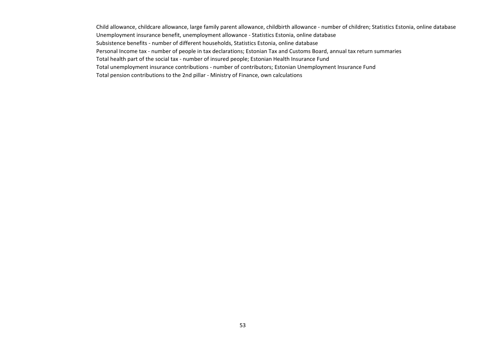Child allowance, childcare allowance, large family parent allowance, childbirth allowance - number of children; Statistics Estonia, online databaseUnemployment insurance benefit, unemployment allowance - Statistics Estonia, online databaseSubsistence benefits - number of different households, Statistics Estonia, online database Personal Income tax - number of people in tax declarations; Estonian Tax and Customs Board, annual tax return summariesTotal health part of the social tax - number of insured people; Estonian Health Insurance Fund Total unemployment insurance contributions - number of contributors; Estonian Unemployment Insurance FundTotal pension contributions to the 2nd pillar - Ministry of Finance, own calculations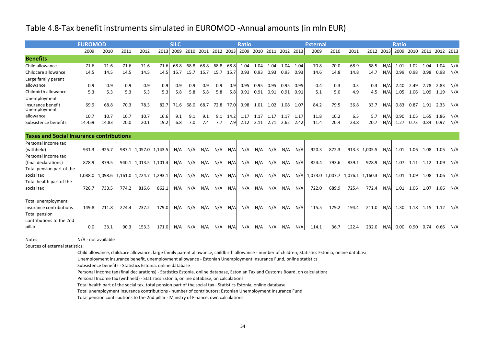#### Table 4.8-Tax benefit instruments simulated in EUROMOD -Annual amounts (in mln EUR)

|                                                 | <b>EUROMOD</b> |       |       |                                         |       | <b>SILC</b>                   |         |      |      |           | <b>Ratio</b>             |                     |                |           |      | <b>External</b> |       |       |                                 |     | <b>Ratio</b> |                  |      |                               |     |
|-------------------------------------------------|----------------|-------|-------|-----------------------------------------|-------|-------------------------------|---------|------|------|-----------|--------------------------|---------------------|----------------|-----------|------|-----------------|-------|-------|---------------------------------|-----|--------------|------------------|------|-------------------------------|-----|
|                                                 | 2009           | 2010  | 2011  | 2012                                    |       | 2013 2009 2010 2011 2012 2013 |         |      |      |           | 2009 2010 2011 2012 2013 |                     |                |           |      | 2009            | 2010  | 2011  | 2012                            |     |              |                  |      | 2013 2009 2010 2011 2012 2013 |     |
| <b>Benefits</b>                                 |                |       |       |                                         |       |                               |         |      |      |           |                          |                     |                |           |      |                 |       |       |                                 |     |              |                  |      |                               |     |
| Child allowance                                 | 71.6           | 71.6  | 71.6  | 71.6                                    | 71.6  | 68.8                          | 68.8    | 68.8 | 68.8 | 68.8      | 1.04                     | 1.04                |                | 1.04 1.04 | 1.04 | 70.8            | 70.0  | 68.9  | 68.5                            | N/A | 1.01         | 1.02             | 1.04 | 1.04                          | N/A |
| Childcare allowance                             | 14.5           | 14.5  | 14.5  | 14.5                                    | 14.5  | 15.7                          | 15.7    | 15.7 | 15.7 | 15.7      | 0.93                     | 0.93                | 0.93           | 0.93      | 0.93 | 14.6            | 14.8  | 14.8  | 14.7                            | N/A | 0.99         | 0.98             | 0.98 | 0.98                          | N/A |
| Large family parent                             |                |       |       |                                         |       |                               |         |      |      |           |                          |                     |                |           |      |                 |       |       |                                 |     |              |                  |      |                               |     |
| allowance                                       | 0.9            | 0.9   | 0.9   | 0.9                                     | 0.9   | 0.9                           | 0.9     | 0.9  | 0.9  | 0.9       | 0.95                     | 0.95                | 0.95           | 0.95      | 0.95 | 0.4             | 0.3   | 0.3   | 0.3                             | N/A | 2.40         | 2.49             | 2.78 | 2.83                          | N/A |
| Childbirth allowance                            | 5.3            | 5.3   | 5.3   | 5.3                                     | 5.3   | 5.8                           | 5.8     | 5.8  | 5.8  | 5.8       | 0.91                     | 0.91                | 0.91 0.91      |           | 0.91 | 5.1             | 5.0   | 4.9   | 4.5                             | N/A |              | 1.05 1.06        | 1.09 | 1.19                          | N/A |
| Unemployment                                    |                |       |       |                                         |       |                               |         |      |      |           |                          |                     |                |           |      |                 |       |       |                                 |     |              |                  |      |                               |     |
| insurance benefit<br>Unemployment               | 69.9           | 68.8  | 70.3  | 78.3                                    | 82.7  | 71.6                          | 68.0    | 68.7 |      | 72.8 77.0 | 0.98                     |                     | 1.01 1.02 1.08 |           | 1.07 | 84.2            | 79.5  | 36.8  | 33.7                            | N/A | 0.83         |                  |      | 0.87 1.91 2.33 N/A            |     |
| allowance                                       | 10.7           | 10.7  | 10.7  | 10.7                                    | 16.6  | 9.1                           | 9.1     | 9.1  | 9.1  | 14.2      | 1.17                     | 1.17                | 1.17           | 1.17      | 1.17 | 11.8            | 10.2  | 6.5   | 5.7                             | N/A | 0.90         | 1.05             | 1.65 | 1.86                          | N/A |
| Subsistence benefits                            | 14.459         | 14.83 | 20.0  | 20.1                                    | 19.2  | 6.8                           | 7.0     | 7.4  | 7.7  | 7.9       |                          | 2.12 2.11 2.71 2.62 |                |           | 2.42 | 11.4            | 20.4  | 23.8  | 20.7                            | N/A | 1.27         | 0.73             | 0.84 | 0.97                          | N/A |
|                                                 |                |       |       |                                         |       |                               |         |      |      |           |                          |                     |                |           |      |                 |       |       |                                 |     |              |                  |      |                               |     |
| <b>Taxes and Social Insurance contributions</b> |                |       |       |                                         |       |                               |         |      |      |           |                          |                     |                |           |      |                 |       |       |                                 |     |              |                  |      |                               |     |
| Personal Income tax                             |                |       |       |                                         |       |                               |         |      |      |           |                          |                     |                |           |      |                 |       |       |                                 |     |              |                  |      |                               |     |
| (withheld)                                      | 931.3          | 925.7 |       | 987.1 1,057.0 1,143.5                   |       | N/A                           | N/A     | N/A  | N/A  | N/A       | N/A                      | N/A                 | N/A            | N/A       | N/A  | 920.3           | 872.3 |       | 913.3 1,005.5                   | N/A | 1.01         | 1.06             | 1.08 | 1.05                          | N/A |
| Personal Income tax                             |                |       |       |                                         |       |                               |         |      |      |           |                          |                     |                |           |      |                 |       |       |                                 |     |              |                  |      |                               |     |
| (final declarations)                            | 878.9          | 879.5 |       | 940.1 1,013.5 1,101.4                   |       | N/A                           | N/A     | N/A  | N/A  | N/A       | N/A                      | N/A                 | N/A            | N/A       | N/A  | 824.4           | 793.6 | 839.1 | 928.9                           | N/A |              | 1.07 1.11 1.12   |      | 1.09                          | N/A |
| Total pension part of the                       |                |       |       |                                         |       |                               |         |      |      |           |                          |                     |                |           |      |                 |       |       |                                 |     |              |                  |      |                               |     |
| social tax                                      |                |       |       | 1,088.0 1,098.6 1,161.0 1,224.7 1,293.1 |       | N/A                           | N/A     | N/A  | N/A  | N/A       | N/A                      | N/A                 | N/A            | N/A       | N/A  |                 |       |       | 1,073.0 1,007.7 1,076.1 1,160.3 | N/A | 1.01         | 1.09             | 1.08 | 1.06 N/A                      |     |
| Total health part of the                        |                |       |       |                                         |       |                               |         |      |      |           |                          |                     |                |           |      |                 |       |       |                                 |     |              |                  |      |                               |     |
| social tax                                      | 726.7          | 733.5 | 774.2 | 816.6                                   | 862.1 | N/A                           | N/A     | N/A  | N/A  | N/A       | N/A                      | N/A                 | N/A            | N/A       | N/A  | 722.0           | 689.9 | 725.4 | 772.4                           | N/A |              | 1.01 1.06 1.07   |      | 1.06 N/A                      |     |
|                                                 |                |       |       |                                         |       |                               |         |      |      |           |                          |                     |                |           |      |                 |       |       |                                 |     |              |                  |      |                               |     |
| Total unemployment<br>insurance contributions   | 149.8          | 211.8 | 224.4 | 237.2                                   | 179.0 | N/A                           | N/A     | N/A  | N/A  | N/A       | N/A                      | N/A                 | N/A            | N/A       | N/A  | 115.5           | 179.2 | 194.4 | 211.0                           | N/A |              | 1.30 1.18        |      | 1.15  1.12  N/A               |     |
| <b>Total pension</b>                            |                |       |       |                                         |       |                               |         |      |      |           |                          |                     |                |           |      |                 |       |       |                                 |     |              |                  |      |                               |     |
| contributions to the 2nd                        |                |       |       |                                         |       |                               |         |      |      |           |                          |                     |                |           |      |                 |       |       |                                 |     |              |                  |      |                               |     |
| pillar                                          | 0.0            | 33.1  | 90.3  | 153.3                                   | 171.0 |                               | N/A N/A | N/A  | N/A  | N/A       | N/A                      | N/A                 | N/A            | N/A       | N/A  | 114.1           | 36.7  | 122.4 | 232.0                           | N/A |              | $0.00\quad 0.90$ |      | 0.74 0.66                     | N/A |
|                                                 |                |       |       |                                         |       |                               |         |      |      |           |                          |                     |                |           |      |                 |       |       |                                 |     |              |                  |      |                               |     |

Notes:

N/A - not available

Sources of external statistics:

Child allowance, childcare allowance, large family parent allowance, childbirth allowance - number of children; Statistics Estonia, online database

Unemployment insurance benefit, unemployment allowance - Estonian Unemployment Insurance Fund, online statistics

Subsistence benefits - Statistics Estonia, online database

Personal Income tax (final declarations) - Statistics Estonia, online database, Estonian Tax and Customs Board, on calculations

Personal Income tax (withheld) - Statistics Estonia, online database, on calculations

Total health part of the social tax, total pension part of the social tax - Statistics Estonia, online database

Total unemployment insurance contributions - number of contributors; Estonian Unemployment Insurance Fund

Total pension contributions to the 2nd pillar - Ministry of Finance, own calculations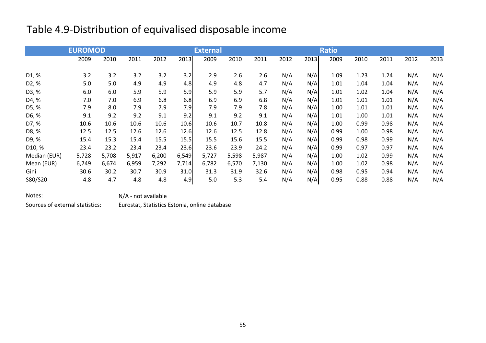# Table 4.9-Distribution of equivalised disposable income

|                    | <b>EUROMOD</b> |       |       |       |       | <b>External</b> |       |       |      |      | <b>Ratio</b> |      |      |      |      |
|--------------------|----------------|-------|-------|-------|-------|-----------------|-------|-------|------|------|--------------|------|------|------|------|
|                    | 2009           | 2010  | 2011  | 2012  | 2013  | 2009            | 2010  | 2011  | 2012 | 2013 | 2009         | 2010 | 2011 | 2012 | 2013 |
| D <sub>1</sub> , % | 3.2            | 3.2   | 3.2   | 3.2   | 3.2   | 2.9             | 2.6   | 2.6   | N/A  | N/A  | 1.09         | 1.23 | 1.24 | N/A  | N/A  |
| D <sub>2</sub> , % | 5.0            | 5.0   | 4.9   | 4.9   | 4.8   | 4.9             | 4.8   | 4.7   | N/A  | N/A  | 1.01         | 1.04 | 1.04 | N/A  | N/A  |
| D3, %              | 6.0            | 6.0   | 5.9   | 5.9   | 5.9   | 5.9             | 5.9   | 5.7   | N/A  | N/A  | 1.01         | 1.02 | 1.04 | N/A  | N/A  |
| D4, %              | 7.0            | 7.0   | 6.9   | 6.8   | 6.8   | 6.9             | 6.9   | 6.8   | N/A  | N/A  | 1.01         | 1.01 | 1.01 | N/A  | N/A  |
| D5, %              | 7.9            | 8.0   | 7.9   | 7.9   | 7.9   | 7.9             | 7.9   | 7.8   | N/A  | N/A  | 1.00         | 1.01 | 1.01 | N/A  | N/A  |
| D6, %              | 9.1            | 9.2   | 9.2   | 9.1   | 9.2   | 9.1             | 9.2   | 9.1   | N/A  | N/A  | 1.01         | 1.00 | 1.01 | N/A  | N/A  |
| D7, %              | 10.6           | 10.6  | 10.6  | 10.6  | 10.6  | 10.6            | 10.7  | 10.8  | N/A  | N/A  | 1.00         | 0.99 | 0.98 | N/A  | N/A  |
| D8, %              | 12.5           | 12.5  | 12.6  | 12.6  | 12.6  | 12.6            | 12.5  | 12.8  | N/A  | N/A  | 0.99         | 1.00 | 0.98 | N/A  | N/A  |
| D9, %              | 15.4           | 15.3  | 15.4  | 15.5  | 15.5  | 15.5            | 15.6  | 15.5  | N/A  | N/A  | 0.99         | 0.98 | 0.99 | N/A  | N/A  |
| D10, %             | 23.4           | 23.2  | 23.4  | 23.4  | 23.6  | 23.6            | 23.9  | 24.2  | N/A  | N/A  | 0.99         | 0.97 | 0.97 | N/A  | N/A  |
| Median (EUR)       | 5,728          | 5,708 | 5,917 | 6,200 | 6,549 | 5,727           | 5,598 | 5,987 | N/A  | N/A  | 1.00         | 1.02 | 0.99 | N/A  | N/A  |
| Mean (EUR)         | 6,749          | 6,674 | 6,959 | 7,292 | 7,714 | 6,782           | 6,570 | 7,130 | N/A  | N/A  | 1.00         | 1.02 | 0.98 | N/A  | N/A  |
| Gini               | 30.6           | 30.2  | 30.7  | 30.9  | 31.0  | 31.3            | 31.9  | 32.6  | N/A  | N/A  | 0.98         | 0.95 | 0.94 | N/A  | N/A  |
| S80/S20            | 4.8            | 4.7   | 4.8   | 4.8   | 4.9   | 5.0             | 5.3   | 5.4   | N/A  | N/A  | 0.95         | 0.88 | 0.88 | N/A  | N/A  |

Notes:

N/A - not available

Sources of external statistics:

Eurostat, Statistics Estonia, online database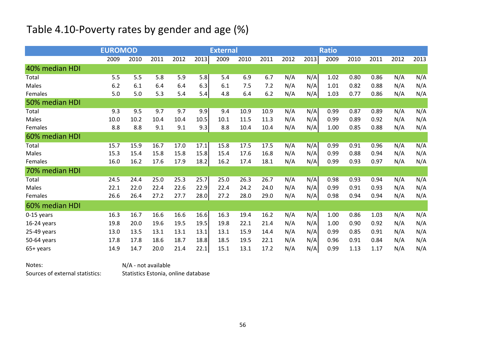# Table 4.10-Poverty rates by gender and age (%)

|                | <b>EUROMOD</b> |      |      |      |      | <b>External</b> |      |      |      |      | <b>Ratio</b> |      |      |      |      |
|----------------|----------------|------|------|------|------|-----------------|------|------|------|------|--------------|------|------|------|------|
|                | 2009           | 2010 | 2011 | 2012 | 2013 | 2009            | 2010 | 2011 | 2012 | 2013 | 2009         | 2010 | 2011 | 2012 | 2013 |
| 40% median HDI |                |      |      |      |      |                 |      |      |      |      |              |      |      |      |      |
| Total          | 5.5            | 5.5  | 5.8  | 5.9  | 5.8  | 5.4             | 6.9  | 6.7  | N/A  | N/A  | 1.02         | 0.80 | 0.86 | N/A  | N/A  |
| Males          | 6.2            | 6.1  | 6.4  | 6.4  | 6.3  | 6.1             | 7.5  | 7.2  | N/A  | N/A  | 1.01         | 0.82 | 0.88 | N/A  | N/A  |
| Females        | 5.0            | 5.0  | 5.3  | 5.4  | 5.4  | 4.8             | 6.4  | 6.2  | N/A  | N/A  | 1.03         | 0.77 | 0.86 | N/A  | N/A  |
| 50% median HDI |                |      |      |      |      |                 |      |      |      |      |              |      |      |      |      |
| Total          | 9.3            | 9.5  | 9.7  | 9.7  | 9.9  | 9.4             | 10.9 | 10.9 | N/A  | N/A  | 0.99         | 0.87 | 0.89 | N/A  | N/A  |
| Males          | 10.0           | 10.2 | 10.4 | 10.4 | 10.5 | 10.1            | 11.5 | 11.3 | N/A  | N/A  | 0.99         | 0.89 | 0.92 | N/A  | N/A  |
| Females        | 8.8            | 8.8  | 9.1  | 9.1  | 9.3  | 8.8             | 10.4 | 10.4 | N/A  | N/A  | 1.00         | 0.85 | 0.88 | N/A  | N/A  |
| 60% median HDI |                |      |      |      |      |                 |      |      |      |      |              |      |      |      |      |
| Total          | 15.7           | 15.9 | 16.7 | 17.0 | 17.1 | 15.8            | 17.5 | 17.5 | N/A  | N/A  | 0.99         | 0.91 | 0.96 | N/A  | N/A  |
| Males          | 15.3           | 15.4 | 15.8 | 15.8 | 15.8 | 15.4            | 17.6 | 16.8 | N/A  | N/A  | 0.99         | 0.88 | 0.94 | N/A  | N/A  |
| Females        | 16.0           | 16.2 | 17.6 | 17.9 | 18.2 | 16.2            | 17.4 | 18.1 | N/A  | N/A  | 0.99         | 0.93 | 0.97 | N/A  | N/A  |
| 70% median HDI |                |      |      |      |      |                 |      |      |      |      |              |      |      |      |      |
| Total          | 24.5           | 24.4 | 25.0 | 25.3 | 25.7 | 25.0            | 26.3 | 26.7 | N/A  | N/A  | 0.98         | 0.93 | 0.94 | N/A  | N/A  |
| Males          | 22.1           | 22.0 | 22.4 | 22.6 | 22.9 | 22.4            | 24.2 | 24.0 | N/A  | N/A  | 0.99         | 0.91 | 0.93 | N/A  | N/A  |
| Females        | 26.6           | 26.4 | 27.2 | 27.7 | 28.0 | 27.2            | 28.0 | 29.0 | N/A  | N/A  | 0.98         | 0.94 | 0.94 | N/A  | N/A  |
| 60% median HDI |                |      |      |      |      |                 |      |      |      |      |              |      |      |      |      |
| 0-15 years     | 16.3           | 16.7 | 16.6 | 16.6 | 16.6 | 16.3            | 19.4 | 16.2 | N/A  | N/A  | 1.00         | 0.86 | 1.03 | N/A  | N/A  |
| $16-24$ years  | 19.8           | 20.0 | 19.6 | 19.5 | 19.5 | 19.8            | 22.1 | 21.4 | N/A  | N/A  | 1.00         | 0.90 | 0.92 | N/A  | N/A  |
| 25-49 years    | 13.0           | 13.5 | 13.1 | 13.1 | 13.1 | 13.1            | 15.9 | 14.4 | N/A  | N/A  | 0.99         | 0.85 | 0.91 | N/A  | N/A  |
| 50-64 years    | 17.8           | 17.8 | 18.6 | 18.7 | 18.8 | 18.5            | 19.5 | 22.1 | N/A  | N/A  | 0.96         | 0.91 | 0.84 | N/A  | N/A  |
| 65+ years      | 14.9           | 14.7 | 20.0 | 21.4 | 22.1 | 15.1            | 13.1 | 17.2 | N/A  | N/A  | 0.99         | 1.13 | 1.17 | N/A  | N/A  |

Notes: N/A - not available Statistics Estonia, online databaseSources of external statistics: